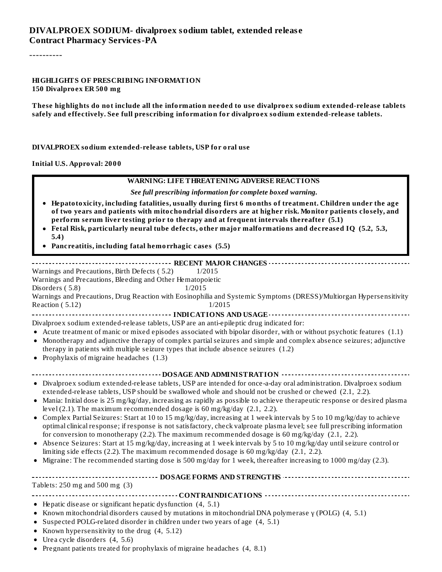----------

#### **HIGHLIGHTS OF PRESCRIBING INFORMATION 150 Divalproex ER 500 mg**

**These highlights do not include all the information needed to use divalproex sodium extended-release tablets safely and effectively. See full prescribing information for divalproex sodium extended-release tablets.**

#### **DIVALPROEX sodium extended-release tablets, USP for oral use**

**Initial U.S. Approval: 2000**

#### **WARNING: LIFE THREATENING ADVERSE REACTIONS**

*See full prescribing information for complete boxed warning.*

- **Hepatotoxicity, including fatalities, usually during first 6 months of treatment. Children under the age of two years and patients with mitochondrial disorders are at higher risk. Monitor patients closely, and perform serum liver testing prior to therapy and at frequent intervals thereafter (5.1)**
- **Fetal Risk, particularly neural tube defects, other major malformations and decreased IQ (5.2, 5.3, 5.4)**
- **Pancreatitis, including fatal hemorrhagic cases (5.5)**

| Warnings and Precautions, Birth Defects (5.2)<br>1/2015                                                                                                                                                                                                                                                                                                                                                                                                                                                                                                                                                                                                                                                                                                                                                                                                                                                                                                                                                                                                                                                                                     |
|---------------------------------------------------------------------------------------------------------------------------------------------------------------------------------------------------------------------------------------------------------------------------------------------------------------------------------------------------------------------------------------------------------------------------------------------------------------------------------------------------------------------------------------------------------------------------------------------------------------------------------------------------------------------------------------------------------------------------------------------------------------------------------------------------------------------------------------------------------------------------------------------------------------------------------------------------------------------------------------------------------------------------------------------------------------------------------------------------------------------------------------------|
| Warnings and Precautions, Bleeding and Other Hematopoietic                                                                                                                                                                                                                                                                                                                                                                                                                                                                                                                                                                                                                                                                                                                                                                                                                                                                                                                                                                                                                                                                                  |
| Disorders (5.8)<br>1/2015                                                                                                                                                                                                                                                                                                                                                                                                                                                                                                                                                                                                                                                                                                                                                                                                                                                                                                                                                                                                                                                                                                                   |
| Warnings and Precautions, Drug Reaction with Eosinophilia and Systemic Symptoms (DRESS)/Multiorgan Hypersensitivity<br>Reaction (5.12)<br>1/2015                                                                                                                                                                                                                                                                                                                                                                                                                                                                                                                                                                                                                                                                                                                                                                                                                                                                                                                                                                                            |
|                                                                                                                                                                                                                                                                                                                                                                                                                                                                                                                                                                                                                                                                                                                                                                                                                                                                                                                                                                                                                                                                                                                                             |
| Divalproex sodium extended-release tablets, USP are an anti-epileptic drug indicated for:                                                                                                                                                                                                                                                                                                                                                                                                                                                                                                                                                                                                                                                                                                                                                                                                                                                                                                                                                                                                                                                   |
| • Acute treatment of manic or mixed episodes associated with bipolar disorder, with or without psychotic features (1.1)<br>• Monotherapy and adjunctive therapy of complex partial seizures and simple and complex absence seizures; adjunctive<br>therapy in patients with multiple seizure types that include absence seizures (1.2)<br>• Prophylaxis of migraine headaches $(1.3)$                                                                                                                                                                                                                                                                                                                                                                                                                                                                                                                                                                                                                                                                                                                                                       |
| ------------------------------------DOSAGE AND ADMINISTRATION -------------------------------                                                                                                                                                                                                                                                                                                                                                                                                                                                                                                                                                                                                                                                                                                                                                                                                                                                                                                                                                                                                                                               |
| • Divalproex sodium extended-release tablets, USP are intended for once-a-day oral administration. Divalproex sodium<br>extended-release tablets, USP should be swallowed whole and should not be crushed or chewed (2.1, 2.2).<br>• Mania: Initial dose is 25 mg/kg/day, increasing as rapidly as possible to achieve therapeutic response or desired plasma<br>level (2.1). The maximum recommended dosage is 60 mg/kg/day (2.1, 2.2).<br>• Complex Partial Seizures: Start at 10 to 15 mg/kg/day, increasing at 1 week intervals by 5 to 10 mg/kg/day to achieve<br>optimal clinical response; if response is not satisfactory, check valproate plasma level; see full prescribing information<br>for conversion to monotherapy (2.2). The maximum recommended dosage is 60 mg/kg/day (2.1, 2.2).<br>Absence Seizures: Start at 15 mg/kg/day, increasing at 1 week intervals by 5 to 10 mg/kg/day until seizure control or<br>limiting side effects (2.2). The maximum recommended dosage is 60 mg/kg/day (2.1, 2.2).<br>• Migraine: The recommended starting dose is 500 mg/day for 1 week, thereafter increasing to 1000 mg/day (2.3). |
| Tablets: 250 mg and 500 mg (3)                                                                                                                                                                                                                                                                                                                                                                                                                                                                                                                                                                                                                                                                                                                                                                                                                                                                                                                                                                                                                                                                                                              |
|                                                                                                                                                                                                                                                                                                                                                                                                                                                                                                                                                                                                                                                                                                                                                                                                                                                                                                                                                                                                                                                                                                                                             |
| • Hepatic disease or significant hepatic dysfunction $(4, 5.1)$                                                                                                                                                                                                                                                                                                                                                                                                                                                                                                                                                                                                                                                                                                                                                                                                                                                                                                                                                                                                                                                                             |
| • Known mitochondrial disorders caused by mutations in mitochondrial DNA polymerase $\gamma$ (POLG) (4, 5.1)                                                                                                                                                                                                                                                                                                                                                                                                                                                                                                                                                                                                                                                                                                                                                                                                                                                                                                                                                                                                                                |
| Suspected POLG-related disorder in children under two years of age (4, 5.1)<br>$\bullet$                                                                                                                                                                                                                                                                                                                                                                                                                                                                                                                                                                                                                                                                                                                                                                                                                                                                                                                                                                                                                                                    |
| • Known hypersensitivity to the drug (4, 5.12)                                                                                                                                                                                                                                                                                                                                                                                                                                                                                                                                                                                                                                                                                                                                                                                                                                                                                                                                                                                                                                                                                              |
| • Urea cycle disorders $(4, 5.6)$                                                                                                                                                                                                                                                                                                                                                                                                                                                                                                                                                                                                                                                                                                                                                                                                                                                                                                                                                                                                                                                                                                           |
| • Pregnant patients treated for prophylaxis of migraine headaches $(4, 8.1)$                                                                                                                                                                                                                                                                                                                                                                                                                                                                                                                                                                                                                                                                                                                                                                                                                                                                                                                                                                                                                                                                |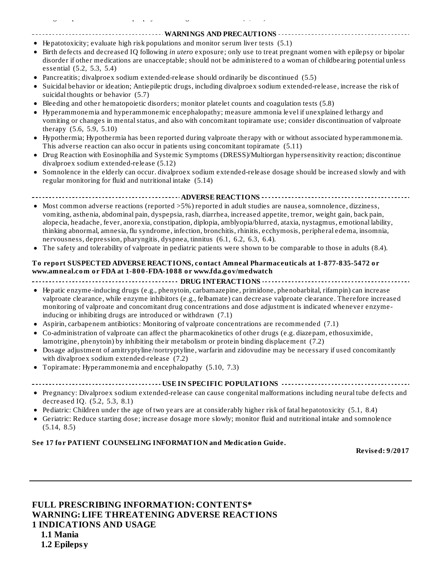#### **WARNINGS AND PRECAUTIONS**

 $\bullet$  Hepatotoxicity; evaluate high risk populations and monitor serum liver tests (5.1)

Pregnant patients treated for prophylaxis of migraine headaches (4, 8.1)

- Birth defects and decreased IQ following *in utero* exposure; only use to treat pregnant women with epilepsy or bipolar disorder if other medications are unacceptable; should not be administered to a woman of childbearing potential unless essential (5.2, 5.3, 5.4)
- Pancreatitis; divalproex sodium extended-release should ordinarily be discontinued (5.5)
- Suicidal behavior or ideation; Antiepileptic drugs, including divalproex sodium extended-release, increase the risk of  $\bullet$ suicidal thoughts or behavior (5.7)
- Bleeding and other hematopoietic disorders; monitor platelet counts and coagulation tests (5.8)  $\bullet$
- Hyperammonemia and hyperammonemic encephalopathy; measure ammonia level if unexplained lethargy and vomiting or changes in mental status, and also with concomitant topiramate use; consider discontinuation of valproate therapy (5.6, 5.9, 5.10)
- Hypothermia; Hypothermia has been reported during valproate therapy with or without associated hyperammonemia.  $\bullet$ This adverse reaction can also occur in patients using concomitant topiramate (5.11)
- Drug Reaction with Eosinophilia and Systemic Symptoms (DRESS)/Multiorgan hypersensitivity reaction; discontinue divalproex sodium extended-release (5.12)
- Somnolence in the elderly can occur. divalproex sodium extended-release dosage should be increased slowly and with  $\bullet$ regular monitoring for fluid and nutritional intake (5.14)

**ADVERSE REACTIONS**

- Most common adverse reactions (reported >5%) reported in adult studies are nausea, somnolence, dizziness, vomiting, asthenia, abdominal pain, dyspepsia, rash, diarrhea, increased appetite, tremor, weight gain, back pain, alopecia, headache, fever, anorexia, constipation, diplopia, amblyopia/blurred, ataxia, nystagmus, emotional lability, thinking abnormal, amnesia, flu syndrome, infection, bronchitis, rhinitis, ecchymosis, peripheral edema, insomnia, nervousness, depression, pharyngitis, dyspnea, tinnitus (6.1, 6.2, 6.3, 6.4).
- The safety and tolerability of valproate in pediatric patients were shown to be comparable to those in adults (8.4).

#### **To report SUSPECTED ADVERSE REACTIONS, contact Amneal Pharmaceuticals at 1-877-835-5472 or www.amneal.com or FDA at 1-800-FDA-1088 or www.fda.gov/medwatch**

#### **DRUG INTERACTIONS**

- Hepatic enzyme-inducing drugs (e.g., phenytoin, carbamazepine, primidone, phenobarbital, rifampin) can increase valproate clearance, while enzyme inhibitors (e.g., felbamate) can decrease valproate clearance. Therefore increased monitoring of valproate and concomitant drug concentrations and dose adjustment is indicated whenever enzymeinducing or inhibiting drugs are introduced or withdrawn (7.1)
- Aspirin, carbapenem antibiotics: Monitoring of valproate concentrations are recommended (7.1)
- Co-administration of valproate can affect the pharmacokinetics of other drugs (e.g. diazepam, ethosuximide,  $\bullet$ lamotrigine, phenytoin) by inhibiting their metabolism or protein binding displacement (7.2)
- Dosage adjustment of amitryptyline/nortryptyline, warfarin and zidovudine may be necessary if used concomitantly  $\bullet$ with divalproex sodium extended-release (7.2)
- Topiramate: Hyperammonemia and encephalopathy (5.10, 7.3)

**USE IN SPECIFIC POPULATIONS**

- Pregnancy: Divalproex sodium extended-release can cause congenital malformations including neural tube defects and decreased IQ. (5.2, 5.3, 8.1)
- Pediatric: Children under the age of two years are at considerably higher risk of fatal hepatotoxicity (5.1, 8.4)
- Geriatric: Reduce starting dose; increase dosage more slowly; monitor fluid and nutritional intake and somnolence (5.14, 8.5)

#### **See 17 for PATIENT COUNSELING INFORMATION and Medication Guide.**

**Revised: 9/2017**

**FULL PRESCRIBING INFORMATION: CONTENTS\* WARNING: LIFE THREATENING ADVERSE REACTIONS 1 INDICATIONS AND USAGE 1.1 Mania 1.2 Epilepsy**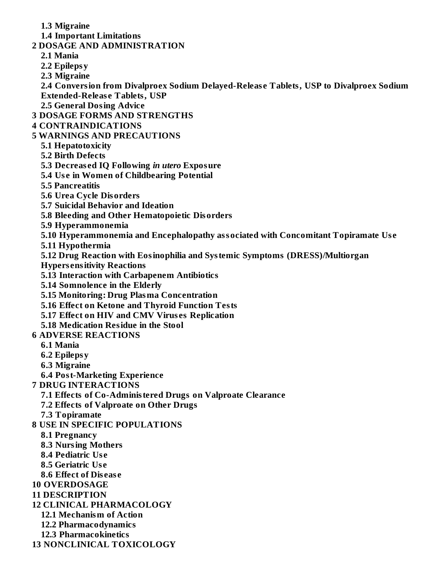- **1.3 Migraine**
- **1.4 Important Limitations**
- **2 DOSAGE AND ADMINISTRATION**
	- **2.1 Mania**
	- **2.2 Epilepsy**
	- **2.3 Migraine**
	- **2.4 Conversion from Divalproex Sodium Delayed-Releas e Tablets, USP to Divalproex Sodium Extended-Releas e Tablets, USP**
	- **2.5 General Dosing Advice**
- **3 DOSAGE FORMS AND STRENGTHS**
- **4 CONTRAINDICATIONS**
- **5 WARNINGS AND PRECAUTIONS**
	- **5.1 Hepatotoxicity**
	- **5.2 Birth Defects**
	- **5.3 Decreas ed IQ Following** *in utero* **Exposure**
	- **5.4 Us e in Women of Childbearing Potential**
	- **5.5 Pancreatitis**
	- **5.6 Urea Cycle Disorders**
	- **5.7 Suicidal Behavior and Ideation**
	- **5.8 Bleeding and Other Hematopoietic Disorders**
	- **5.9 Hyperammonemia**
	- **5.10 Hyperammonemia and Encephalopathy associated with Concomitant Topiramate Us e**
	- **5.11 Hypothermia**
	- **5.12 Drug Reaction with Eosinophilia and Systemic Symptoms (DRESS)/Multiorgan**
	- **Hypers ensitivity Reactions**
	- **5.13 Interaction with Carbapenem Antibiotics**
	- **5.14 Somnolence in the Elderly**
	- **5.15 Monitoring: Drug Plasma Concentration**
	- **5.16 Effect on Ketone and Thyroid Function Tests**
	- **5.17 Effect on HIV and CMV Virus es Replication**
	- **5.18 Medication Residue in the Stool**
- **6 ADVERSE REACTIONS**
	- **6.1 Mania**
	- **6.2 Epilepsy**
	- **6.3 Migraine**
	- **6.4 Post-Marketing Experience**
- **7 DRUG INTERACTIONS**
	- **7.1 Effects of Co-Administered Drugs on Valproate Clearance**
	- **7.2 Effects of Valproate on Other Drugs**
	- **7.3 Topiramate**
- **8 USE IN SPECIFIC POPULATIONS**
	- **8.1 Pregnancy**
	- **8.3 Nursing Mothers**
	- **8.4 Pediatric Us e**
	- **8.5 Geriatric Us e**
	- **8.6 Effect of Dis eas e**
- **10 OVERDOSAGE**
- **11 DESCRIPTION**
- **12 CLINICAL PHARMACOLOGY**
	- **12.1 Mechanism of Action**
	- **12.2 Pharmacodynamics**
	- **12.3 Pharmacokinetics**
- **13 NONCLINICAL TOXICOLOGY**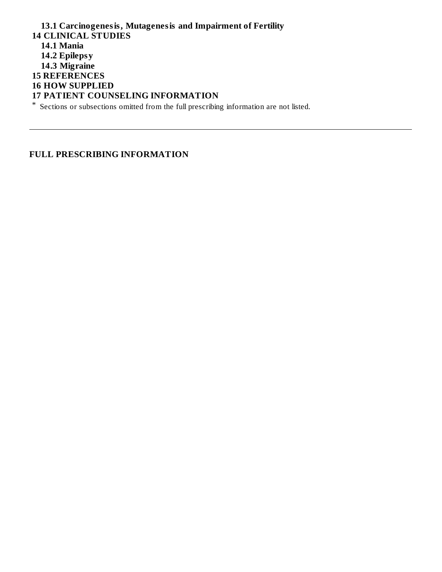#### **13.1 Carcinogenesis, Mutagenesis and Impairment of Fertility 14 CLINICAL STUDIES 14.1 Mania 14.2 Epilepsy 14.3 Migraine 15 REFERENCES 16 HOW SUPPLIED 17 PATIENT COUNSELING INFORMATION** \* Sections or subsections omitted from the full prescribing information are not listed.

#### **FULL PRESCRIBING INFORMATION**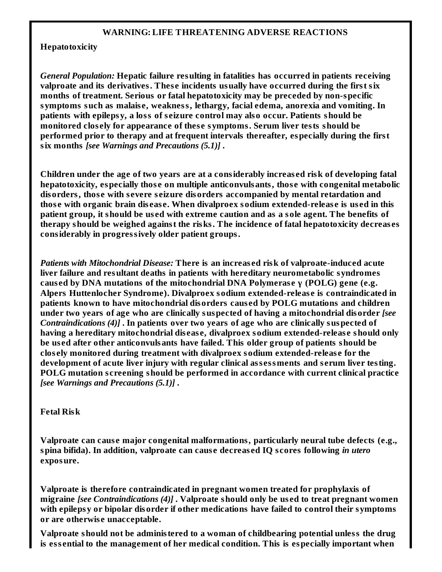#### **WARNING: LIFE THREATENING ADVERSE REACTIONS**

#### **Hepatotoxicity**

*General Population:* **Hepatic failure resulting in fatalities has occurred in patients receiving valproate and its derivatives. Thes e incidents usually have occurred during the first six months of treatment. Serious or fatal hepatotoxicity may be preceded by non-specific symptoms such as malais e, weakness, lethargy, facial edema, anorexia and vomiting. In patients with epilepsy, a loss of s eizure control may also occur. Patients should be monitored clos ely for appearance of thes e symptoms. Serum liver tests should be performed prior to therapy and at frequent intervals thereafter, especially during the first six months** *[see Warnings and Precautions (5.1)]* **.**

**Children under the age of two years are at a considerably increas ed risk of developing fatal hepatotoxicity, especially thos e on multiple anticonvulsants, thos e with congenital metabolic disorders, thos e with s evere s eizure disorders accompanied by mental retardation and thos e with organic brain dis eas e. When divalproex sodium extended-releas e is us ed in this patient group, it should be us ed with extreme caution and as a sole agent. The benefits of therapy should be weighed against the risks. The incidence of fatal hepatotoxicity decreas es considerably in progressively older patient groups.**

*Patients with Mitochondrial Disease:* **There is an increas ed risk of valproate-induced acute liver failure and resultant deaths in patients with hereditary neurometabolic syndromes caus ed by DNA mutations of the mitochondrial DNA Polymeras e γ (POLG) gene (e.g. Alpers Huttenlocher Syndrome). Divalproex sodium extended-releas e is contraindicated in patients known to have mitochondrial disorders caus ed by POLG mutations and children under two years of age who are clinically suspected of having a mitochondrial disorder** *[see Contraindications (4)]* **. In patients over two years of age who are clinically suspected of having a hereditary mitochondrial dis eas e, divalproex sodium extended-releas e should only be us ed after other anticonvulsants have failed. This older group of patients should be clos ely monitored during treatment with divalproex sodium extended-releas e for the development of acute liver injury with regular clinical ass essments and s erum liver testing. POLG mutation s creening should be performed in accordance with current clinical practice** *[see Warnings and Precautions (5.1)]* **.**

#### **Fetal Risk**

**Valproate can caus e major congenital malformations, particularly neural tube defects (e.g., spina bifida). In addition, valproate can caus e decreas ed IQ s cores following** *in utero* **exposure.**

**Valproate is therefore contraindicated in pregnant women treated for prophylaxis of migraine** *[see Contraindications (4)]* **. Valproate should only be us ed to treat pregnant women with epilepsy or bipolar disorder if other medications have failed to control their symptoms or are otherwis e unacceptable.**

**Valproate should not be administered to a woman of childbearing potential unless the drug is ess ential to the management of her medical condition. This is especially important when**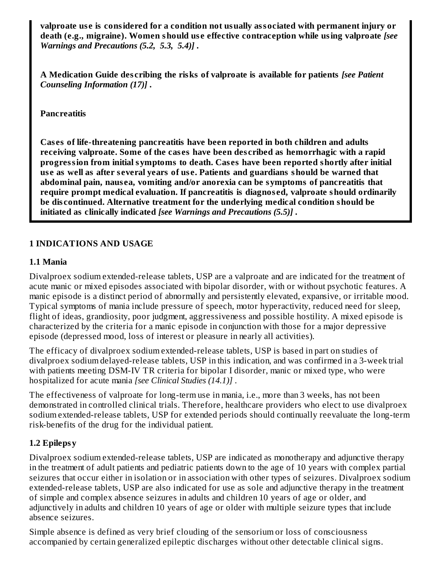**valproate us e is considered for a condition not usually associated with permanent injury or death (e.g., migraine). Women should us e effective contraception while using valproate** *[see Warnings and Precautions (5.2, 5.3, 5.4)]* **.**

**A Medication Guide des cribing the risks of valproate is available for patients** *[see Patient Counseling Information (17)]* **.**

**Pancreatitis**

**Cas es of life-threatening pancreatitis have been reported in both children and adults receiving valproate. Some of the cas es have been des cribed as hemorrhagic with a rapid progression from initial symptoms to death. Cas es have been reported shortly after initial us e as well as after s everal years of us e. Patients and guardians should be warned that abdominal pain, naus ea, vomiting and/or anorexia can be symptoms of pancreatitis that require prompt medical evaluation. If pancreatitis is diagnos ed, valproate should ordinarily be dis continued. Alternative treatment for the underlying medical condition should be initiated as clinically indicated** *[see Warnings and Precautions (5.5)]* **.**

#### **1 INDICATIONS AND USAGE**

#### **1.1 Mania**

Divalproex sodium extended-release tablets, USP are a valproate and are indicated for the treatment of acute manic or mixed episodes associated with bipolar disorder, with or without psychotic features. A manic episode is a distinct period of abnormally and persistently elevated, expansive, or irritable mood. Typical symptoms of mania include pressure of speech, motor hyperactivity, reduced need for sleep, flight of ideas, grandiosity, poor judgment, aggressiveness and possible hostility. A mixed episode is characterized by the criteria for a manic episode in conjunction with those for a major depressive episode (depressed mood, loss of interest or pleasure in nearly all activities).

The efficacy of divalproex sodium extended-release tablets, USP is based in part on studies of divalproex sodium delayed-release tablets, USP in this indication, and was confirmed in a 3-week trial with patients meeting DSM-IV TR criteria for bipolar I disorder, manic or mixed type, who were hospitalized for acute mania *[see Clinical Studies (14.1)]* .

The effectiveness of valproate for long-term use in mania, i.e., more than 3 weeks, has not been demonstrated in controlled clinical trials. Therefore, healthcare providers who elect to use divalproex sodium extended-release tablets, USP for extended periods should continually reevaluate the long-term risk-benefits of the drug for the individual patient.

#### **1.2 Epilepsy**

Divalproex sodium extended-release tablets, USP are indicated as monotherapy and adjunctive therapy in the treatment of adult patients and pediatric patients down to the age of 10 years with complex partial seizures that occur either in isolation or in association with other types of seizures. Divalproex sodium extended-release tablets, USP are also indicated for use as sole and adjunctive therapy in the treatment of simple and complex absence seizures in adults and children 10 years of age or older, and adjunctively in adults and children 10 years of age or older with multiple seizure types that include absence seizures.

Simple absence is defined as very brief clouding of the sensorium or loss of consciousness accompanied by certain generalized epileptic discharges without other detectable clinical signs.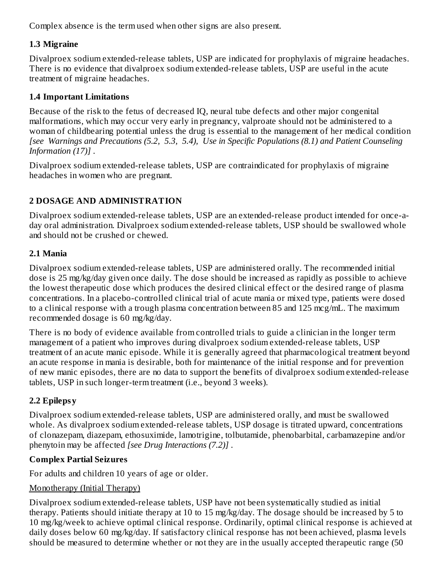Complex absence is the term used when other signs are also present.

## **1.3 Migraine**

Divalproex sodium extended-release tablets, USP are indicated for prophylaxis of migraine headaches. There is no evidence that divalproex sodium extended-release tablets, USP are useful in the acute treatment of migraine headaches.

## **1.4 Important Limitations**

Because of the risk to the fetus of decreased IQ, neural tube defects and other major congenital malformations, which may occur very early in pregnancy, valproate should not be administered to a woman of childbearing potential unless the drug is essential to the management of her medical condition *[see Warnings and Precautions (5.2, 5.3, 5.4), Use in Specific Populations (8.1) and Patient Counseling Information (17)]* .

Divalproex sodium extended-release tablets, USP are contraindicated for prophylaxis of migraine headaches in women who are pregnant.

# **2 DOSAGE AND ADMINISTRATION**

Divalproex sodium extended-release tablets, USP are an extended-release product intended for once-aday oral administration. Divalproex sodium extended-release tablets, USP should be swallowed whole and should not be crushed or chewed.

## **2.1 Mania**

Divalproex sodium extended-release tablets, USP are administered orally. The recommended initial dose is 25 mg/kg/day given once daily. The dose should be increased as rapidly as possible to achieve the lowest therapeutic dose which produces the desired clinical effect or the desired range of plasma concentrations. In a placebo-controlled clinical trial of acute mania or mixed type, patients were dosed to a clinical response with a trough plasma concentration between 85 and 125 mcg/mL. The maximum recommended dosage is 60 mg/kg/day.

There is no body of evidence available from controlled trials to guide a clinician in the longer term management of a patient who improves during divalproex sodium extended-release tablets, USP treatment of an acute manic episode. While it is generally agreed that pharmacological treatment beyond an acute response in mania is desirable, both for maintenance of the initial response and for prevention of new manic episodes, there are no data to support the benefits of divalproex sodium extended-release tablets, USP in such longer-term treatment (i.e., beyond 3 weeks).

# **2.2 Epilepsy**

Divalproex sodium extended-release tablets, USP are administered orally, and must be swallowed whole. As divalproex sodium extended-release tablets, USP dosage is titrated upward, concentrations of clonazepam, diazepam, ethosuximide, lamotrigine, tolbutamide, phenobarbital, carbamazepine and/or phenytoin may be affected *[see Drug Interactions (7.2)]* .

## **Complex Partial Seizures**

For adults and children 10 years of age or older.

## Monotherapy (Initial Therapy)

Divalproex sodium extended-release tablets, USP have not been systematically studied as initial therapy. Patients should initiate therapy at 10 to 15 mg/kg/day. The dosage should be increased by 5 to 10 mg/kg/week to achieve optimal clinical response. Ordinarily, optimal clinical response is achieved at daily doses below 60 mg/kg/day. If satisfactory clinical response has not been achieved, plasma levels should be measured to determine whether or not they are in the usually accepted therapeutic range (50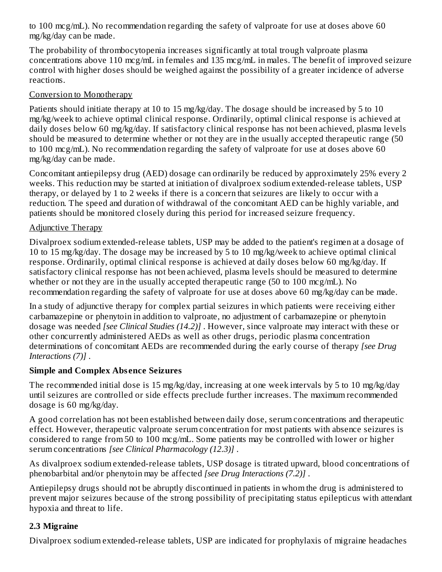to 100 mcg/mL). No recommendation regarding the safety of valproate for use at doses above 60 mg/kg/day can be made.

The probability of thrombocytopenia increases significantly at total trough valproate plasma concentrations above 110 mcg/mL in females and 135 mcg/mL in males. The benefit of improved seizure control with higher doses should be weighed against the possibility of a greater incidence of adverse reactions.

#### Conversion to Monotherapy

Patients should initiate therapy at 10 to 15 mg/kg/day. The dosage should be increased by 5 to 10 mg/kg/week to achieve optimal clinical response. Ordinarily, optimal clinical response is achieved at daily doses below 60 mg/kg/day. If satisfactory clinical response has not been achieved, plasma levels should be measured to determine whether or not they are in the usually accepted therapeutic range (50 to 100 mcg/mL). No recommendation regarding the safety of valproate for use at doses above 60 mg/kg/day can be made.

Concomitant antiepilepsy drug (AED) dosage can ordinarily be reduced by approximately 25% every 2 weeks. This reduction may be started at initiation of divalproex sodium extended-release tablets, USP therapy, or delayed by 1 to 2 weeks if there is a concern that seizures are likely to occur with a reduction. The speed and duration of withdrawal of the concomitant AED can be highly variable, and patients should be monitored closely during this period for increased seizure frequency.

#### Adjunctive Therapy

Divalproex sodium extended-release tablets, USP may be added to the patient's regimen at a dosage of 10 to 15 mg/kg/day. The dosage may be increased by 5 to 10 mg/kg/week to achieve optimal clinical response. Ordinarily, optimal clinical response is achieved at daily doses below 60 mg/kg/day. If satisfactory clinical response has not been achieved, plasma levels should be measured to determine whether or not they are in the usually accepted therapeutic range (50 to 100 mcg/mL). No recommendation regarding the safety of valproate for use at doses above 60 mg/kg/day can be made.

In a study of adjunctive therapy for complex partial seizures in which patients were receiving either carbamazepine or phenytoin in addition to valproate, no adjustment of carbamazepine or phenytoin dosage was needed *[see Clinical Studies (14.2)]* . However, since valproate may interact with these or other concurrently administered AEDs as well as other drugs, periodic plasma concentration determinations of concomitant AEDs are recommended during the early course of therapy *[see Drug Interactions (7)]* .

### **Simple and Complex Abs ence Seizures**

The recommended initial dose is 15 mg/kg/day, increasing at one week intervals by 5 to 10 mg/kg/day until seizures are controlled or side effects preclude further increases. The maximum recommended dosage is 60 mg/kg/day.

A good correlation has not been established between daily dose, serum concentrations and therapeutic effect. However, therapeutic valproate serum concentration for most patients with absence seizures is considered to range from 50 to 100 mcg/mL. Some patients may be controlled with lower or higher serum concentrations *[see Clinical Pharmacology (12.3)]* .

As divalproex sodium extended-release tablets, USP dosage is titrated upward, blood concentrations of phenobarbital and/or phenytoin may be affected *[see Drug Interactions (7.2)]* .

Antiepilepsy drugs should not be abruptly discontinued in patients in whom the drug is administered to prevent major seizures because of the strong possibility of precipitating status epilepticus with attendant hypoxia and threat to life.

### **2.3 Migraine**

Divalproex sodium extended-release tablets, USP are indicated for prophylaxis of migraine headaches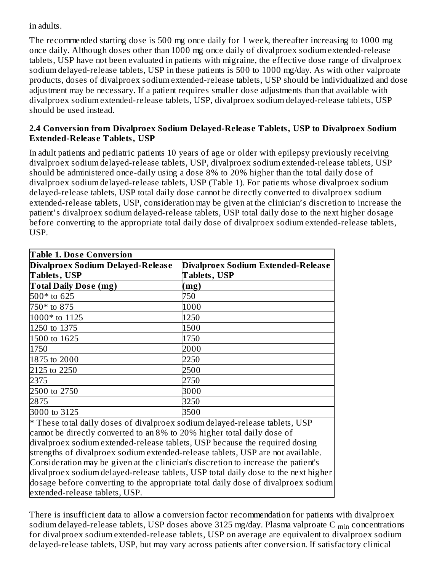in adults.

The recommended starting dose is 500 mg once daily for 1 week, thereafter increasing to 1000 mg once daily. Although doses other than 1000 mg once daily of divalproex sodium extended-release tablets, USP have not been evaluated in patients with migraine, the effective dose range of divalproex sodium delayed-release tablets, USP in these patients is 500 to 1000 mg/day. As with other valproate products, doses of divalproex sodium extended-release tablets, USP should be individualized and dose adjustment may be necessary. If a patient requires smaller dose adjustments than that available with divalproex sodium extended-release tablets, USP, divalproex sodium delayed-release tablets, USP should be used instead.

#### **2.4 Conversion from Divalproex Sodium Delayed-Releas e Tablets, USP to Divalproex Sodium Extended-Releas e Tablets, USP**

In adult patients and pediatric patients 10 years of age or older with epilepsy previously receiving divalproex sodium delayed-release tablets, USP, divalproex sodium extended-release tablets, USP should be administered once-daily using a dose 8% to 20% higher than the total daily dose of divalproex sodium delayed-release tablets, USP (Table 1). For patients whose divalproex sodium delayed-release tablets, USP total daily dose cannot be directly converted to divalproex sodium extended-release tablets, USP, consideration may be given at the clinician's discretion to increase the patient's divalproex sodium delayed-release tablets, USP total daily dose to the next higher dosage before converting to the appropriate total daily dose of divalproex sodium extended-release tablets, USP.

| <b>Table 1. Dose Conversion</b>                                                |                                    |  |  |
|--------------------------------------------------------------------------------|------------------------------------|--|--|
| Divalproex Sodium Delayed-Release                                              | Divalproex Sodium Extended-Release |  |  |
| <b>Tablets, USP</b>                                                            | <b>Tablets, USP</b>                |  |  |
| <b>Total Daily Dose (mg)</b>                                                   | (mg)                               |  |  |
| 500* to 625                                                                    | 750                                |  |  |
| 750* to 875                                                                    | 1000                               |  |  |
| 1000* to 1125                                                                  | 1250                               |  |  |
| 1250 to 1375                                                                   | 1500                               |  |  |
| 1500 to 1625                                                                   | 1750                               |  |  |
| 1750                                                                           | 2000                               |  |  |
| 1875 to 2000                                                                   | 2250                               |  |  |
| 2125 to 2250                                                                   | 2500                               |  |  |
| 2375                                                                           | 2750                               |  |  |
| 2500 to 2750                                                                   | 3000                               |  |  |
| 2875                                                                           | 3250                               |  |  |
| 3000 to 3125                                                                   | 3500                               |  |  |
| $*$ These total daily doses of divalpress sodium delayed release tablets. LISD |                                    |  |  |

These total daily doses of divalproex sodium delayed-release tablets, USP cannot be directly converted to an 8% to 20% higher total daily dose of divalproex sodium extended-release tablets, USP because the required dosing strengths of divalproex sodium extended-release tablets, USP are not available. Consideration may be given at the clinician's discretion to increase the patient's divalproex sodium delayed-release tablets, USP total daily dose to the next higher dosage before converting to the appropriate total daily dose of divalproex sodium extended-release tablets, USP.

There is insufficient data to allow a conversion factor recommendation for patients with divalproex sodium delayed-release tablets, USP doses above 3125 mg/day. Plasma valproate C  $_{\rm min}$  concentrations for divalproex sodium extended-release tablets, USP on average are equivalent to divalproex sodium delayed-release tablets, USP, but may vary across patients after conversion. If satisfactory clinical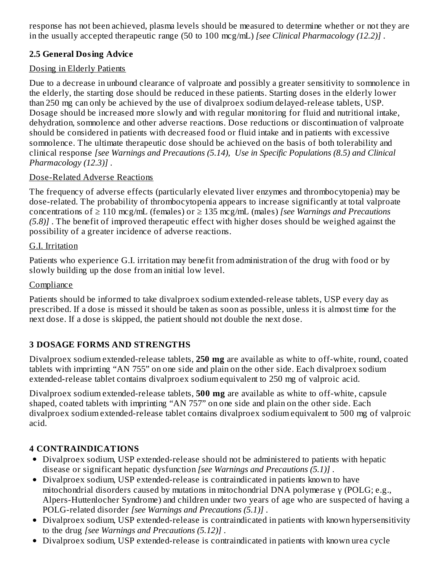response has not been achieved, plasma levels should be measured to determine whether or not they are in the usually accepted therapeutic range (50 to 100 mcg/mL) *[see Clinical Pharmacology (12.2)]* .

## **2.5 General Dosing Advice**

## Dosing in Elderly Patients

Due to a decrease in unbound clearance of valproate and possibly a greater sensitivity to somnolence in the elderly, the starting dose should be reduced in these patients. Starting doses in the elderly lower than 250 mg can only be achieved by the use of divalproex sodium delayed-release tablets, USP. Dosage should be increased more slowly and with regular monitoring for fluid and nutritional intake, dehydration, somnolence and other adverse reactions. Dose reductions or discontinuation of valproate should be considered in patients with decreased food or fluid intake and in patients with excessive somnolence. The ultimate therapeutic dose should be achieved on the basis of both tolerability and clinical response *[see Warnings and Precautions (5.14), Use in Specific Populations (8.5) and Clinical Pharmacology (12.3)]* .

#### Dose-Related Adverse Reactions

The frequency of adverse effects (particularly elevated liver enzymes and thrombocytopenia) may be dose-related. The probability of thrombocytopenia appears to increase significantly at total valproate concentrations of ≥ 110 mcg/mL (females) or ≥ 135 mcg/mL (males) *[see Warnings and Precautions (5.8)]* . The benefit of improved therapeutic effect with higher doses should be weighed against the possibility of a greater incidence of adverse reactions.

#### G.I. Irritation

Patients who experience G.I. irritation may benefit from administration of the drug with food or by slowly building up the dose from an initial low level.

#### **Compliance**

Patients should be informed to take divalproex sodium extended-release tablets, USP every day as prescribed. If a dose is missed it should be taken as soon as possible, unless it is almost time for the next dose. If a dose is skipped, the patient should not double the next dose.

### **3 DOSAGE FORMS AND STRENGTHS**

Divalproex sodium extended-release tablets, **250 mg** are available as white to off-white, round, coated tablets with imprinting "AN 755" on one side and plain on the other side. Each divalproex sodium extended-release tablet contains divalproex sodium equivalent to 250 mg of valproic acid.

Divalproex sodium extended-release tablets, **500 mg** are available as white to off-white, capsule shaped, coated tablets with imprinting "AN 757" on one side and plain on the other side. Each divalproex sodium extended-release tablet contains divalproex sodium equivalent to 500 mg of valproic acid.

## **4 CONTRAINDICATIONS**

- Divalproex sodium, USP extended-release should not be administered to patients with hepatic disease or significant hepatic dysfunction *[see Warnings and Precautions (5.1)]* .
- Divalproex sodium, USP extended-release is contraindicated in patients known to have mitochondrial disorders caused by mutations in mitochondrial DNA polymerase γ (POLG; e.g., Alpers-Huttenlocher Syndrome) and children under two years of age who are suspected of having a POLG-related disorder *[see Warnings and Precautions (5.1)]* .
- Divalproex sodium, USP extended-release is contraindicated in patients with known hypersensitivity to the drug *[see Warnings and Precautions (5.12)]* .
- Divalproex sodium, USP extended-release is contraindicated in patients with known urea cycle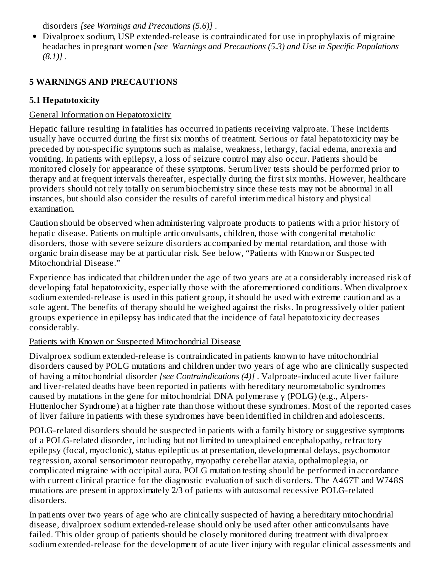disorders *[see Warnings and Precautions (5.6)]* .

Divalproex sodium, USP extended-release is contraindicated for use in prophylaxis of migraine headaches in pregnant women *[see Warnings and Precautions (5.3) and Use in Specific Populations (8.1)]* .

## **5 WARNINGS AND PRECAUTIONS**

## **5.1 Hepatotoxicity**

### General Information on Hepatotoxicity

Hepatic failure resulting in fatalities has occurred in patients receiving valproate. These incidents usually have occurred during the first six months of treatment. Serious or fatal hepatotoxicity may be preceded by non-specific symptoms such as malaise, weakness, lethargy, facial edema, anorexia and vomiting. In patients with epilepsy, a loss of seizure control may also occur. Patients should be monitored closely for appearance of these symptoms. Serum liver tests should be performed prior to therapy and at frequent intervals thereafter, especially during the first six months. However, healthcare providers should not rely totally on serum biochemistry since these tests may not be abnormal in all instances, but should also consider the results of careful interim medical history and physical examination.

Caution should be observed when administering valproate products to patients with a prior history of hepatic disease. Patients on multiple anticonvulsants, children, those with congenital metabolic disorders, those with severe seizure disorders accompanied by mental retardation, and those with organic brain disease may be at particular risk. See below, "Patients with Known or Suspected Mitochondrial Disease."

Experience has indicated that children under the age of two years are at a considerably increased risk of developing fatal hepatotoxicity, especially those with the aforementioned conditions. When divalproex sodium extended-release is used in this patient group, it should be used with extreme caution and as a sole agent. The benefits of therapy should be weighed against the risks. In progressively older patient groups experience in epilepsy has indicated that the incidence of fatal hepatotoxicity decreases considerably.

### Patients with Known or Suspected Mitochondrial Disease

Divalproex sodium extended-release is contraindicated in patients known to have mitochondrial disorders caused by POLG mutations and children under two years of age who are clinically suspected of having a mitochondrial disorder *[see Contraindications (4)]* . Valproate-induced acute liver failure and liver-related deaths have been reported in patients with hereditary neurometabolic syndromes caused by mutations in the gene for mitochondrial DNA polymerase γ (POLG) (e.g., Alpers-Huttenlocher Syndrome) at a higher rate than those without these syndromes. Most of the reported cases of liver failure in patients with these syndromes have been identified in children and adolescents.

POLG-related disorders should be suspected in patients with a family history or suggestive symptoms of a POLG-related disorder, including but not limited to unexplained encephalopathy, refractory epilepsy (focal, myoclonic), status epilepticus at presentation, developmental delays, psychomotor regression, axonal sensorimotor neuropathy, myopathy cerebellar ataxia, opthalmoplegia, or complicated migraine with occipital aura. POLG mutation testing should be performed in accordance with current clinical practice for the diagnostic evaluation of such disorders. The A467T and W748S mutations are present in approximately 2/3 of patients with autosomal recessive POLG-related disorders.

In patients over two years of age who are clinically suspected of having a hereditary mitochondrial disease, divalproex sodium extended-release should only be used after other anticonvulsants have failed. This older group of patients should be closely monitored during treatment with divalproex sodium extended-release for the development of acute liver injury with regular clinical assessments and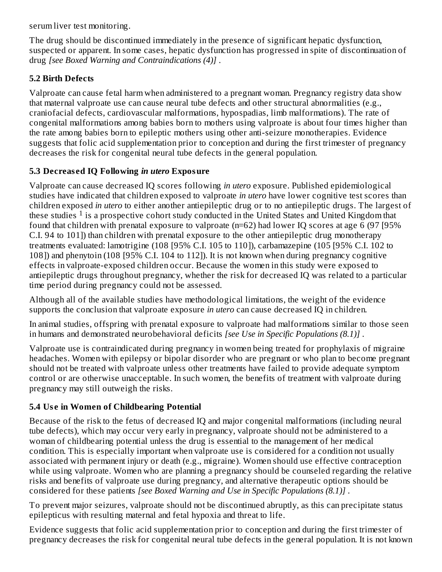serum liver test monitoring.

The drug should be discontinued immediately in the presence of significant hepatic dysfunction, suspected or apparent. In some cases, hepatic dysfunction has progressed in spite of discontinuation of drug *[see Boxed Warning and Contraindications (4)]* .

## **5.2 Birth Defects**

Valproate can cause fetal harm when administered to a pregnant woman. Pregnancy registry data show that maternal valproate use can cause neural tube defects and other structural abnormalities (e.g., craniofacial defects, cardiovascular malformations, hypospadias, limb malformations). The rate of congenital malformations among babies born to mothers using valproate is about four times higher than the rate among babies born to epileptic mothers using other anti-seizure monotherapies. Evidence suggests that folic acid supplementation prior to conception and during the first trimester of pregnancy decreases the risk for congenital neural tube defects in the general population.

### **5.3 Decreas ed IQ Following** *in utero* **Exposure**

Valproate can cause decreased IQ scores following *in utero* exposure. Published epidemiological studies have indicated that children exposed to valproate *in utero* have lower cognitive test scores than children exposed *in utero* to either another antiepileptic drug or to no antiepileptic drugs. The largest of these studies  $1$  is a prospective cohort study conducted in the United States and United Kingdom that found that children with prenatal exposure to valproate (n=62) had lower IQ scores at age 6 (97 [95% C.I. 94 to 101]) than children with prenatal exposure to the other antiepileptic drug monotherapy treatments evaluated: lamotrigine (108 [95% C.I. 105 to 110]), carbamazepine (105 [95% C.I. 102 to 108]) and phenytoin (108 [95% C.I. 104 to 112]). It is not known when during pregnancy cognitive effects in valproate-exposed children occur. Because the women in this study were exposed to antiepileptic drugs throughout pregnancy, whether the risk for decreased IQ was related to a particular time period during pregnancy could not be assessed.

Although all of the available studies have methodological limitations, the weight of the evidence supports the conclusion that valproate exposure *in utero* can cause decreased IQ in children.

In animal studies, offspring with prenatal exposure to valproate had malformations similar to those seen in humans and demonstrated neurobehavioral deficits *[see Use in Specific Populations (8.1)]* .

Valproate use is contraindicated during pregnancy in women being treated for prophylaxis of migraine headaches. Women with epilepsy or bipolar disorder who are pregnant or who plan to become pregnant should not be treated with valproate unless other treatments have failed to provide adequate symptom control or are otherwise unacceptable. In such women, the benefits of treatment with valproate during pregnancy may still outweigh the risks.

## **5.4 Us e in Women of Childbearing Potential**

Because of the risk to the fetus of decreased IQ and major congenital malformations (including neural tube defects), which may occur very early in pregnancy, valproate should not be administered to a woman of childbearing potential unless the drug is essential to the management of her medical condition. This is especially important when valproate use is considered for a condition not usually associated with permanent injury or death (e.g., migraine). Women should use effective contraception while using valproate. Women who are planning a pregnancy should be counseled regarding the relative risks and benefits of valproate use during pregnancy, and alternative therapeutic options should be considered for these patients *[see Boxed Warning and Use in Specific Populations (8.1)]* .

To prevent major seizures, valproate should not be discontinued abruptly, as this can precipitate status epilepticus with resulting maternal and fetal hypoxia and threat to life.

Evidence suggests that folic acid supplementation prior to conception and during the first trimester of pregnancy decreases the risk for congenital neural tube defects in the general population. It is not known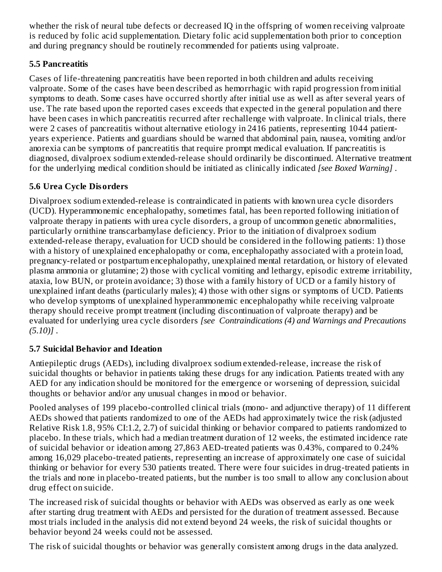whether the risk of neural tube defects or decreased IQ in the offspring of women receiving valproate is reduced by folic acid supplementation. Dietary folic acid supplementation both prior to conception and during pregnancy should be routinely recommended for patients using valproate.

## **5.5 Pancreatitis**

Cases of life-threatening pancreatitis have been reported in both children and adults receiving valproate. Some of the cases have been described as hemorrhagic with rapid progression from initial symptoms to death. Some cases have occurred shortly after initial use as well as after several years of use. The rate based upon the reported cases exceeds that expected in the general population and there have been cases in which pancreatitis recurred after rechallenge with valproate. In clinical trials, there were 2 cases of pancreatitis without alternative etiology in 2416 patients, representing 1044 patientyears experience. Patients and guardians should be warned that abdominal pain, nausea, vomiting and/or anorexia can be symptoms of pancreatitis that require prompt medical evaluation. If pancreatitis is diagnosed, divalproex sodium extended-release should ordinarily be discontinued. Alternative treatment for the underlying medical condition should be initiated as clinically indicated *[see Boxed Warning]* .

## **5.6 Urea Cycle Disorders**

Divalproex sodium extended-release is contraindicated in patients with known urea cycle disorders (UCD). Hyperammonemic encephalopathy, sometimes fatal, has been reported following initiation of valproate therapy in patients with urea cycle disorders, a group of uncommon genetic abnormalities, particularly ornithine transcarbamylase deficiency. Prior to the initiation of divalproex sodium extended-release therapy, evaluation for UCD should be considered in the following patients: 1) those with a history of unexplained encephalopathy or coma, encephalopathy associated with a protein load, pregnancy-related or postpartum encephalopathy, unexplained mental retardation, or history of elevated plasma ammonia or glutamine; 2) those with cyclical vomiting and lethargy, episodic extreme irritability, ataxia, low BUN, or protein avoidance; 3) those with a family history of UCD or a family history of unexplained infant deaths (particularly males); 4) those with other signs or symptoms of UCD. Patients who develop symptoms of unexplained hyperammonemic encephalopathy while receiving valproate therapy should receive prompt treatment (including discontinuation of valproate therapy) and be evaluated for underlying urea cycle disorders *[see Contraindications (4) and Warnings and Precautions (5.10)]* .

### **5.7 Suicidal Behavior and Ideation**

Antiepileptic drugs (AEDs), including divalproex sodium extended-release, increase the risk of suicidal thoughts or behavior in patients taking these drugs for any indication. Patients treated with any AED for any indication should be monitored for the emergence or worsening of depression, suicidal thoughts or behavior and/or any unusual changes in mood or behavior.

Pooled analyses of 199 placebo-controlled clinical trials (mono- and adjunctive therapy) of 11 different AEDs showed that patients randomized to one of the AEDs had approximately twice the risk (adjusted Relative Risk 1.8, 95% CI:1.2, 2.7) of suicidal thinking or behavior compared to patients randomized to placebo. In these trials, which had a median treatment duration of 12 weeks, the estimated incidence rate of suicidal behavior or ideation among 27,863 AED-treated patients was 0.43%, compared to 0.24% among 16,029 placebo-treated patients, representing an increase of approximately one case of suicidal thinking or behavior for every 530 patients treated. There were four suicides in drug-treated patients in the trials and none in placebo-treated patients, but the number is too small to allow any conclusion about drug effect on suicide.

The increased risk of suicidal thoughts or behavior with AEDs was observed as early as one week after starting drug treatment with AEDs and persisted for the duration of treatment assessed. Because most trials included in the analysis did not extend beyond 24 weeks, the risk of suicidal thoughts or behavior beyond 24 weeks could not be assessed.

The risk of suicidal thoughts or behavior was generally consistent among drugs in the data analyzed.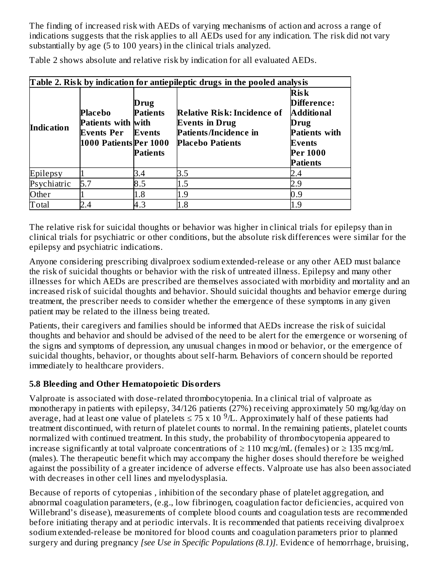The finding of increased risk with AEDs of varying mechanisms of action and across a range of indications suggests that the risk applies to all AEDs used for any indication. The risk did not vary substantially by age (5 to 100 years) in the clinical trials analyzed.

|             | Table 2. Risk by indication for antiepileptic drugs in the pooled analysis |                                        |                                                                                                          |                                                                                                                                 |  |
|-------------|----------------------------------------------------------------------------|----------------------------------------|----------------------------------------------------------------------------------------------------------|---------------------------------------------------------------------------------------------------------------------------------|--|
| Indication  | Placebo<br>Patients with with<br>Events Per<br>1000 Patients Per 1000      | Drug<br>Patients<br>Events<br>Patients | Relative Risk: Incidence of<br><b>Events in Drug</b><br>Patients/Incidence in<br><b>Placebo Patients</b> | <b>Risk</b><br>Difference:<br><b>Additional</b><br>Drug<br><b>Patients with</b><br>Events<br><b>Per 1000</b><br><b>Patients</b> |  |
| Epilepsy    |                                                                            | 3.4                                    | 3.5                                                                                                      | 2.4                                                                                                                             |  |
| Psychiatric | 5.7                                                                        | 8.5                                    | 1.5                                                                                                      | 2.9                                                                                                                             |  |
| Other       |                                                                            | 1.8                                    | 1.9                                                                                                      | 0.9                                                                                                                             |  |
| Total       | 2.4                                                                        | 4.3                                    | $1.8\,$                                                                                                  | 1.9                                                                                                                             |  |

Table 2 shows absolute and relative risk by indication for all evaluated AEDs.

The relative risk for suicidal thoughts or behavior was higher in clinical trials for epilepsy than in clinical trials for psychiatric or other conditions, but the absolute risk differences were similar for the epilepsy and psychiatric indications.

Anyone considering prescribing divalproex sodium extended-release or any other AED must balance the risk of suicidal thoughts or behavior with the risk of untreated illness. Epilepsy and many other illnesses for which AEDs are prescribed are themselves associated with morbidity and mortality and an increased risk of suicidal thoughts and behavior. Should suicidal thoughts and behavior emerge during treatment, the prescriber needs to consider whether the emergence of these symptoms in any given patient may be related to the illness being treated.

Patients, their caregivers and families should be informed that AEDs increase the risk of suicidal thoughts and behavior and should be advised of the need to be alert for the emergence or worsening of the signs and symptoms of depression, any unusual changes in mood or behavior, or the emergence of suicidal thoughts, behavior, or thoughts about self-harm. Behaviors of concern should be reported immediately to healthcare providers.

### **5.8 Bleeding and Other Hematopoietic Disorders**

Valproate is associated with dose-related thrombocytopenia. In a clinical trial of valproate as monotherapy in patients with epilepsy, 34/126 patients (27%) receiving approximately 50 mg/kg/day on average, had at least one value of platelets  $\leq$  75 x 10  $^9$ /L. Approximately half of these patients had treatment discontinued, with return of platelet counts to normal. In the remaining patients, platelet counts normalized with continued treatment. In this study, the probability of thrombocytopenia appeared to increase significantly at total valproate concentrations of  $\geq 110$  mcg/mL (females) or  $\geq 135$  mcg/mL (males). The therapeutic benefit which may accompany the higher doses should therefore be weighed against the possibility of a greater incidence of adverse effects. Valproate use has also been associated with decreases in other cell lines and myelodysplasia.

Because of reports of cytopenias , inhibition of the secondary phase of platelet aggregation, and abnormal coagulation parameters, (e.g., low fibrinogen, coagulation factor deficiencies, acquired von Willebrand's disease), measurements of complete blood counts and coagulation tests are recommended before initiating therapy and at periodic intervals. It is recommended that patients receiving divalproex sodium extended-release be monitored for blood counts and coagulation parameters prior to planned surgery and during pregnancy *[see Use in Specific Populations (8.1)]*. Evidence of hemorrhage, bruising,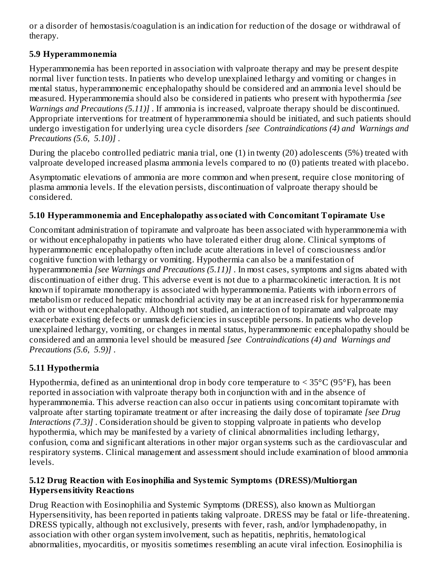or a disorder of hemostasis/coagulation is an indication for reduction of the dosage or withdrawal of therapy.

## **5.9 Hyperammonemia**

Hyperammonemia has been reported in association with valproate therapy and may be present despite normal liver function tests. In patients who develop unexplained lethargy and vomiting or changes in mental status, hyperammonemic encephalopathy should be considered and an ammonia level should be measured. Hyperammonemia should also be considered in patients who present with hypothermia *[see Warnings and Precautions (5.11)]* . If ammonia is increased, valproate therapy should be discontinued. Appropriate interventions for treatment of hyperammonemia should be initiated, and such patients should undergo investigation for underlying urea cycle disorders *[see Contraindications (4) and Warnings and Precautions (5.6, 5.10)]* .

During the placebo controlled pediatric mania trial, one (1) in twenty (20) adolescents (5%) treated with valproate developed increased plasma ammonia levels compared to no (0) patients treated with placebo.

Asymptomatic elevations of ammonia are more common and when present, require close monitoring of plasma ammonia levels. If the elevation persists, discontinuation of valproate therapy should be considered.

## **5.10 Hyperammonemia and Encephalopathy associated with Concomitant Topiramate Us e**

Concomitant administration of topiramate and valproate has been associated with hyperammonemia with or without encephalopathy in patients who have tolerated either drug alone. Clinical symptoms of hyperammonemic encephalopathy often include acute alterations in level of consciousness and/or cognitive function with lethargy or vomiting. Hypothermia can also be a manifestation of hyperammonemia *[see Warnings and Precautions (5.11)]* . In most cases, symptoms and signs abated with discontinuation of either drug. This adverse event is not due to a pharmacokinetic interaction. It is not known if topiramate monotherapy is associated with hyperammonemia. Patients with inborn errors of metabolism or reduced hepatic mitochondrial activity may be at an increased risk for hyperammonemia with or without encephalopathy. Although not studied, an interaction of topiramate and valproate may exacerbate existing defects or unmask deficiencies in susceptible persons. In patients who develop unexplained lethargy, vomiting, or changes in mental status, hyperammonemic encephalopathy should be considered and an ammonia level should be measured *[see Contraindications (4) and Warnings and Precautions (5.6, 5.9)]* .

# **5.11 Hypothermia**

Hypothermia, defined as an unintentional drop in body core temperature to < 35°C (95°F), has been reported in association with valproate therapy both in conjunction with and in the absence of hyperammonemia. This adverse reaction can also occur in patients using concomitant topiramate with valproate after starting topiramate treatment or after increasing the daily dose of topiramate *[see Drug Interactions (7.3)]* . Consideration should be given to stopping valproate in patients who develop hypothermia, which may be manifested by a variety of clinical abnormalities including lethargy, confusion, coma and significant alterations in other major organ systems such as the cardiovascular and respiratory systems. Clinical management and assessment should include examination of blood ammonia levels.

### **5.12 Drug Reaction with Eosinophilia and Systemic Symptoms (DRESS)/Multiorgan Hypers ensitivity Reactions**

Drug Reaction with Eosinophilia and Systemic Symptoms (DRESS), also known as Multiorgan Hypersensitivity, has been reported in patients taking valproate. DRESS may be fatal or life-threatening. DRESS typically, although not exclusively, presents with fever, rash, and/or lymphadenopathy, in association with other organ system involvement, such as hepatitis, nephritis, hematological abnormalities, myocarditis, or myositis sometimes resembling an acute viral infection. Eosinophilia is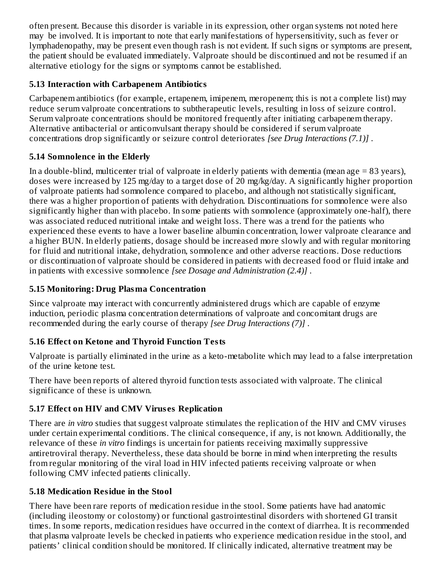often present. Because this disorder is variable in its expression, other organ systems not noted here may be involved. It is important to note that early manifestations of hypersensitivity, such as fever or lymphadenopathy, may be present even though rash is not evident. If such signs or symptoms are present, the patient should be evaluated immediately. Valproate should be discontinued and not be resumed if an alternative etiology for the signs or symptoms cannot be established.

## **5.13 Interaction with Carbapenem Antibiotics**

Carbapenem antibiotics (for example, ertapenem, imipenem, meropenem; this is not a complete list) may reduce serum valproate concentrations to subtherapeutic levels, resulting in loss of seizure control. Serum valproate concentrations should be monitored frequently after initiating carbapenem therapy. Alternative antibacterial or anticonvulsant therapy should be considered if serum valproate concentrations drop significantly or seizure control deteriorates *[see Drug Interactions (7.1)]* .

## **5.14 Somnolence in the Elderly**

In a double-blind, multicenter trial of valproate in elderly patients with dementia (mean age  $= 83$  years), doses were increased by 125 mg/day to a target dose of 20 mg/kg/day. A significantly higher proportion of valproate patients had somnolence compared to placebo, and although not statistically significant, there was a higher proportion of patients with dehydration. Discontinuations for somnolence were also significantly higher than with placebo. In some patients with somnolence (approximately one-half), there was associated reduced nutritional intake and weight loss. There was a trend for the patients who experienced these events to have a lower baseline albumin concentration, lower valproate clearance and a higher BUN. In elderly patients, dosage should be increased more slowly and with regular monitoring for fluid and nutritional intake, dehydration, somnolence and other adverse reactions. Dose reductions or discontinuation of valproate should be considered in patients with decreased food or fluid intake and in patients with excessive somnolence *[see Dosage and Administration (2.4)]* .

## **5.15 Monitoring: Drug Plasma Concentration**

Since valproate may interact with concurrently administered drugs which are capable of enzyme induction, periodic plasma concentration determinations of valproate and concomitant drugs are recommended during the early course of therapy *[see Drug Interactions (7)]* .

## **5.16 Effect on Ketone and Thyroid Function Tests**

Valproate is partially eliminated in the urine as a keto-metabolite which may lead to a false interpretation of the urine ketone test.

There have been reports of altered thyroid function tests associated with valproate. The clinical significance of these is unknown.

## **5.17 Effect on HIV and CMV Virus es Replication**

There are *in vitro* studies that suggest valproate stimulates the replication of the HIV and CMV viruses under certain experimental conditions. The clinical consequence, if any, is not known. Additionally, the relevance of these *in vitro* findings is uncertain for patients receiving maximally suppressive antiretroviral therapy. Nevertheless, these data should be borne in mind when interpreting the results from regular monitoring of the viral load in HIV infected patients receiving valproate or when following CMV infected patients clinically.

### **5.18 Medication Residue in the Stool**

There have been rare reports of medication residue in the stool. Some patients have had anatomic (including ileostomy or colostomy) or functional gastrointestinal disorders with shortened GI transit times. In some reports, medication residues have occurred in the context of diarrhea. It is recommended that plasma valproate levels be checked in patients who experience medication residue in the stool, and patients' clinical condition should be monitored. If clinically indicated, alternative treatment may be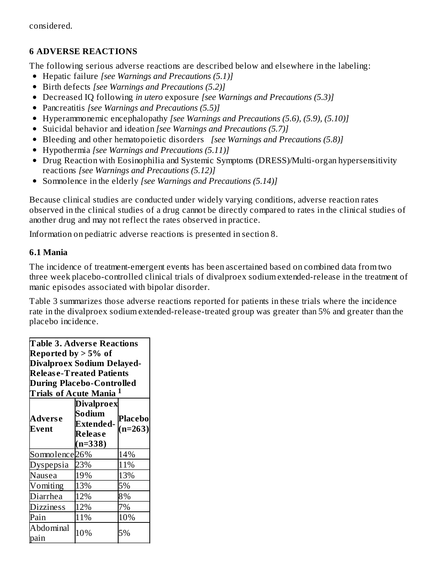considered.

## **6 ADVERSE REACTIONS**

The following serious adverse reactions are described below and elsewhere in the labeling:

- Hepatic failure *[see Warnings and Precautions (5.1)]*
- Birth defects *[see Warnings and Precautions (5.2)]*
- Decreased IQ following *in utero* exposure *[see Warnings and Precautions (5.3)]*
- Pancreatitis *[see Warnings and Precautions (5.5)]*
- Hyperammonemic encephalopathy *[see Warnings and Precautions (5.6), (5.9), (5.10)]*
- Suicidal behavior and ideation *[see Warnings and Precautions (5.7)]*
- Bleeding and other hematopoietic disorders *[see Warnings and Precautions (5.8)]*
- Hypothermia *[see Warnings and Precautions (5.11)]*
- Drug Reaction with Eosinophilia and Systemic Symptoms (DRESS)/Multi-organ hypersensitivity reactions *[see Warnings and Precautions (5.12)]*
- Somnolence in the elderly *[see Warnings and Precautions (5.14)]*

Because clinical studies are conducted under widely varying conditions, adverse reaction rates observed in the clinical studies of a drug cannot be directly compared to rates in the clinical studies of another drug and may not reflect the rates observed in practice.

Information on pediatric adverse reactions is presented in section 8.

#### **6.1 Mania**

The incidence of treatment-emergent events has been ascertained based on combined data from two three week placebo-controlled clinical trials of divalproex sodium extended-release in the treatment of manic episodes associated with bipolar disorder.

Table 3 summarizes those adverse reactions reported for patients in these trials where the incidence rate in the divalproex sodium extended-release-treated group was greater than 5% and greater than the placebo incidence.

| <b>Table 3. Adverse Reactions</b><br>Reported by $> 5\%$ of<br>Divalproex Sodium Delayed-<br><b>Release-Treated Patients</b><br><b>During Placebo-Controlled</b> |     |     |  |
|------------------------------------------------------------------------------------------------------------------------------------------------------------------|-----|-----|--|
| Trials of Acute Mania $^{\mathsf{1}}$                                                                                                                            |     |     |  |
| Divalproex<br><b>Sodium</b><br><b>Adverse</b><br>Placebo<br>Extended-<br>$(n=263)$<br>Event<br>Releas e<br>$(n=338)$                                             |     |     |  |
| Somnolence <sub>26%</sub>                                                                                                                                        |     | 14% |  |
| Dyspepsia                                                                                                                                                        | 23% | 11% |  |
| Nausea                                                                                                                                                           | 19% | 13% |  |
| Vomiting                                                                                                                                                         | 13% | 5%  |  |
| Diarrhea                                                                                                                                                         | 12% | 8%  |  |
| <b>Dizziness</b>                                                                                                                                                 | 12% | 7%  |  |
| Pain                                                                                                                                                             | 11% | 10% |  |
| Abdominal<br>pain                                                                                                                                                | 10% | 5%  |  |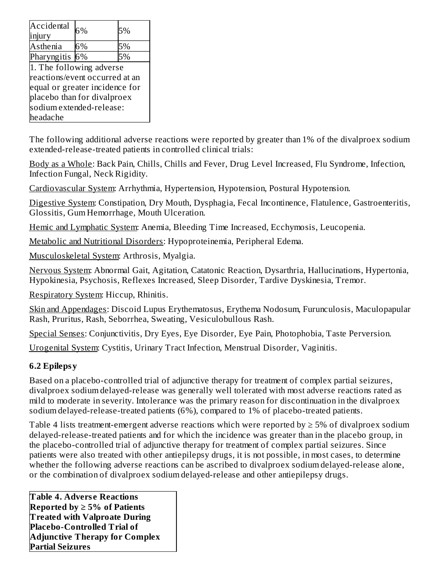| Accidental<br>injury                                             | 6% | 5% |  |
|------------------------------------------------------------------|----|----|--|
| Asthenia                                                         | 6% | 5% |  |
| Pharyngitis 6%                                                   |    | 5% |  |
| 1. The following adverse                                         |    |    |  |
| reactions/event occurred at an<br>equal or greater incidence for |    |    |  |
| placebo than for divalproex                                      |    |    |  |
| sodium extended-release:                                         |    |    |  |
| headache                                                         |    |    |  |

The following additional adverse reactions were reported by greater than 1% of the divalproex sodium extended-release-treated patients in controlled clinical trials:

Body as a Whole: Back Pain, Chills, Chills and Fever, Drug Level Increased, Flu Syndrome, Infection, Infection Fungal, Neck Rigidity.

Cardiovascular System: Arrhythmia, Hypertension, Hypotension, Postural Hypotension.

Digestive System: Constipation, Dry Mouth, Dysphagia, Fecal Incontinence, Flatulence, Gastroenteritis, Glossitis, Gum Hemorrhage, Mouth Ulceration.

Hemic and Lymphatic System: Anemia, Bleeding Time Increased, Ecchymosis, Leucopenia.

Metabolic and Nutritional Disorders: Hypoproteinemia, Peripheral Edema.

Musculoskeletal System: Arthrosis, Myalgia.

Nervous System: Abnormal Gait, Agitation, Catatonic Reaction, Dysarthria, Hallucinations, Hypertonia, Hypokinesia, Psychosis, Reflexes Increased, Sleep Disorder, Tardive Dyskinesia, Tremor.

Respiratory System: Hiccup, Rhinitis.

Skin and Appendages: Discoid Lupus Erythematosus, Erythema Nodosum, Furunculosis, Maculopapular Rash, Pruritus, Rash, Seborrhea, Sweating, Vesiculobullous Rash.

Special Senses: Conjunctivitis, Dry Eyes, Eye Disorder, Eye Pain, Photophobia, Taste Perversion.

Urogenital System: Cystitis, Urinary Tract Infection, Menstrual Disorder, Vaginitis.

#### **6.2 Epilepsy**

Based on a placebo-controlled trial of adjunctive therapy for treatment of complex partial seizures, divalproex sodium delayed-release was generally well tolerated with most adverse reactions rated as mild to moderate in severity. Intolerance was the primary reason for discontinuation in the divalproex sodium delayed-release-treated patients (6%), compared to 1% of placebo-treated patients.

Table 4 lists treatment-emergent adverse reactions which were reported by  $\geq$  5% of divalproex sodium delayed-release-treated patients and for which the incidence was greater than in the placebo group, in the placebo-controlled trial of adjunctive therapy for treatment of complex partial seizures. Since patients were also treated with other antiepilepsy drugs, it is not possible, in most cases, to determine whether the following adverse reactions can be ascribed to divalproex sodium delayed-release alone, or the combination of divalproex sodium delayed-release and other antiepilepsy drugs.

**Table 4. Advers e Reactions Reported by ≥ 5% of Patients Treated with Valproate During Placebo-Controlled Trial of Adjunctive Therapy for Complex Partial Seizures**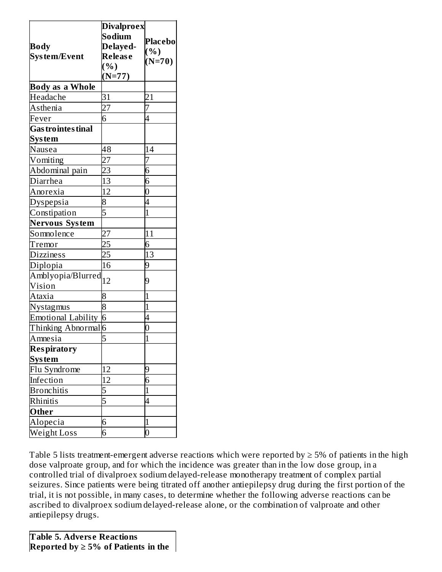|                                | Divalproex     |                  |
|--------------------------------|----------------|------------------|
|                                | <b>Sodium</b>  |                  |
| <b>Body</b>                    | Delayed-       | Placebo          |
| System/Event                   | <b>Release</b> | ( %)<br>$(N=70)$ |
|                                | $(\%)$         |                  |
|                                | $(N=77)$       |                  |
| <b>Body as a Whole</b>         |                |                  |
| Headache                       | 31             | 21               |
| Asthenia                       | 27             | 7                |
| Fever                          | 6              | 4                |
| <b>Gas trointes tinal</b>      |                |                  |
| System                         |                |                  |
| Nausea                         | 48             | 14               |
| Vomiting                       | 27             | 7                |
| Abdominal pain                 | 23             | 6                |
| <b>Diarrhea</b>                | 13             | 6                |
| Anorexia                       | 12             | $\overline{0}$   |
| Dyspepsia                      | 8              | $\overline{4}$   |
| Constipation                   | $\overline{5}$ | $\overline{1}$   |
| Nervous System                 |                |                  |
| Somnolence                     | 27             | 11               |
| Tremor                         | 25             | 6                |
| <b>Dizziness</b>               | 25             | 13               |
| Diplopia                       | 16             | 9                |
| Amblyopia/Blurred              | 12             |                  |
| Vision                         |                | 9                |
| Ataxia                         | 8              | $\overline{1}$   |
| <b>Nystagmus</b>               | 8              | $\overline{1}$   |
| <b>Emotional Lability</b>      | 6              | 4                |
| Thinking Abnormal <sup>6</sup> |                | $\overline{0}$   |
| Amnesia                        | $\overline{5}$ | $\overline{1}$   |
| <b>Respiratory</b>             |                |                  |
| <b>System</b>                  |                |                  |
| Flu Syndrome                   | 12             | 9                |
| Infection                      | 12             | 6                |
| <b>Bronchitis</b>              | 5              | $\overline{1}$   |
| Rhinitis                       | $\overline{5}$ | 4                |
| Other                          |                |                  |
| Alopecia                       | 6              | $\overline{1}$   |
| Veight Loss                    | 6              | $\overline{0}$   |

Table 5 lists treatment-emergent adverse reactions which were reported by  $\geq$  5% of patients in the high dose valproate group, and for which the incidence was greater than in the low dose group, in a controlled trial of divalproex sodium delayed-release monotherapy treatment of complex partial seizures. Since patients were being titrated off another antiepilepsy drug during the first portion of the trial, it is not possible, in many cases, to determine whether the following adverse reactions can be ascribed to divalproex sodium delayed-release alone, or the combination of valproate and other antiepilepsy drugs.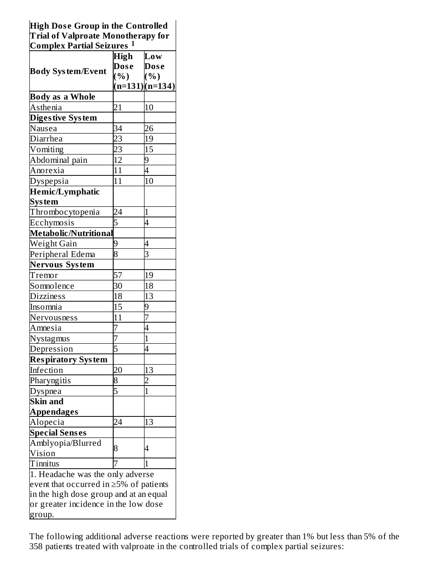| <b>High Dose Group in the Controlled</b>     |                |                  |  |
|----------------------------------------------|----------------|------------------|--|
| <b>Trial of Valproate Monotherapy for</b>    |                |                  |  |
| Complex Partial Seizures <sup>1</sup>        |                |                  |  |
|                                              | <b>High</b>    | Low              |  |
| <b>Body System/Event</b>                     | Dose           | <b>Dose</b>      |  |
|                                              | (%)            | (%)              |  |
|                                              |                | $(n=131)(n=134)$ |  |
| <b>Body as a Whole</b>                       |                |                  |  |
| Asthenia                                     | 21             | 10               |  |
| Diges tive System                            |                |                  |  |
| Nausea                                       | 34             | 26               |  |
| Diarrhea                                     | 23             | 19               |  |
| Vomiting                                     | 23             | 15               |  |
| Abdominal pain                               | 12             | 9                |  |
| Anorexia                                     | 11             | $\overline{4}$   |  |
| Dyspepsia                                    | 11             | 10               |  |
| Hemic/Lymphatic                              |                |                  |  |
| <b>System</b>                                |                |                  |  |
| Thrombocytopenia                             | 24             | $\overline{1}$   |  |
| Ecchymosis                                   | $\overline{5}$ | $\overline{4}$   |  |
| Metabolic/Nutritional                        |                |                  |  |
| <b>Weight Gain</b>                           | 9              | 4                |  |
| Peripheral Edema                             | 8              | $\overline{3}$   |  |
| Nervous System                               |                |                  |  |
| Tremor                                       | 57             | 19               |  |
| Somnolence                                   | 30             | 18               |  |
| <b>Dizziness</b>                             | 18             | 13               |  |
| Insomnia                                     | 15             | 9                |  |
| Nervousness                                  | 11             | 7                |  |
| Amnesia                                      |                | 4                |  |
| <b>Nystagmus</b>                             | $\frac{7}{7}$  | $\overline{1}$   |  |
| Depression                                   | 5              | 4                |  |
| <b>Respiratory System</b>                    |                |                  |  |
| Infection                                    | 20             | 13               |  |
| Pharyngitis                                  | 8              | $\overline{c}$   |  |
| Dyspnea                                      | 5              | $\mathbf{1}$     |  |
| <b>Skin and</b>                              |                |                  |  |
| Appendages                                   |                |                  |  |
| Alopecia                                     | 24             | 13               |  |
| <b>Special Senses</b>                        |                |                  |  |
| Amblyopia/Blurred                            |                |                  |  |
| Vision                                       | 8              | 4                |  |
| Tinnitus                                     | 7              | 1                |  |
| 1. Headache was the only adverse             |                |                  |  |
| event that occurred in $\geq$ 5% of patients |                |                  |  |
| in the high dose group and at an equal       |                |                  |  |
| or greater incidence in the low dose         |                |                  |  |
| group.                                       |                |                  |  |

The following additional adverse reactions were reported by greater than 1% but less than 5% of the 358 patients treated with valproate in the controlled trials of complex partial seizures: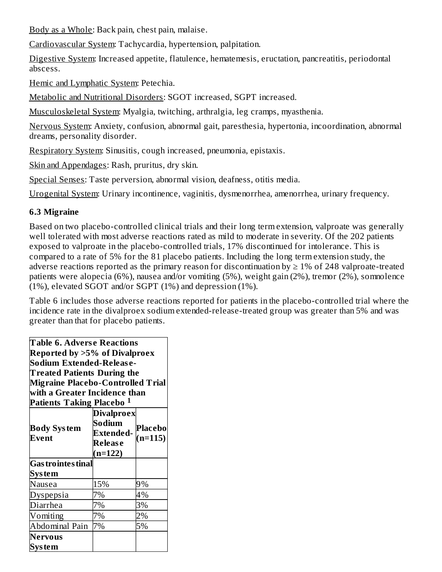Body as a Whole: Back pain, chest pain, malaise.

Cardiovascular System: Tachycardia, hypertension, palpitation.

Digestive System: Increased appetite, flatulence, hematemesis, eructation, pancreatitis, periodontal abscess.

Hemic and Lymphatic System: Petechia.

Metabolic and Nutritional Disorders: SGOT increased, SGPT increased.

Musculoskeletal System: Myalgia, twitching, arthralgia, leg cramps, myasthenia.

Nervous System: Anxiety, confusion, abnormal gait, paresthesia, hypertonia, incoordination, abnormal dreams, personality disorder.

Respiratory System: Sinusitis, cough increased, pneumonia, epistaxis.

Skin and Appendages: Rash, pruritus, dry skin.

Special Senses: Taste perversion, abnormal vision, deafness, otitis media.

Urogenital System: Urinary incontinence, vaginitis, dysmenorrhea, amenorrhea, urinary frequency.

#### **6.3 Migraine**

Based on two placebo-controlled clinical trials and their long term extension, valproate was generally well tolerated with most adverse reactions rated as mild to moderate in severity. Of the 202 patients exposed to valproate in the placebo-controlled trials, 17% discontinued for intolerance. This is compared to a rate of 5% for the 81 placebo patients. Including the long term extension study, the adverse reactions reported as the primary reason for discontinuation by  $\geq 1\%$  of 248 valproate-treated patients were alopecia (6%), nausea and/or vomiting (5%), weight gain (2%), tremor (2%), somnolence (1%), elevated SGOT and/or SGPT (1%) and depression (1%).

Table 6 includes those adverse reactions reported for patients in the placebo-controlled trial where the incidence rate in the divalproex sodium extended-release-treated group was greater than 5% and was greater than that for placebo patients.

| Table 6. Adverse Reactions<br>Reported by >5% of Divalproex<br>Sodium Extended-Release-<br><b>Treated Patients During the</b><br>Migraine Placebo-Controlled Trial<br>with a Greater Incidence than<br>Patients Taking Placebo <sup>1</sup> |                                                                  |                      |  |
|---------------------------------------------------------------------------------------------------------------------------------------------------------------------------------------------------------------------------------------------|------------------------------------------------------------------|----------------------|--|
| <b>Body System</b><br>Event                                                                                                                                                                                                                 | Divalproex<br>Sodium<br>Extended-<br><b>Release</b><br>$(n=122)$ | Placebo<br>$(n=115)$ |  |
| <b>Gas trointes tinal</b>                                                                                                                                                                                                                   |                                                                  |                      |  |
| Sys tem                                                                                                                                                                                                                                     |                                                                  |                      |  |
| Nausea                                                                                                                                                                                                                                      | 15%                                                              | 9%                   |  |
| Dyspepsia                                                                                                                                                                                                                                   | 7%                                                               | 4%                   |  |
| Diarrhea                                                                                                                                                                                                                                    | 7%                                                               | 3%                   |  |
| Vomiting                                                                                                                                                                                                                                    | 7%                                                               | 2%                   |  |
| <b>Abdominal Pain</b>                                                                                                                                                                                                                       | 7%                                                               | 5%                   |  |
| Nervous                                                                                                                                                                                                                                     |                                                                  |                      |  |
| Sys tem                                                                                                                                                                                                                                     |                                                                  |                      |  |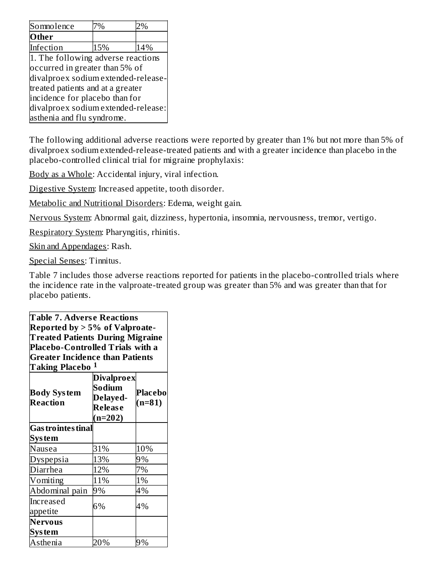| Somnolence                          | 7%  |     |  |
|-------------------------------------|-----|-----|--|
| Other                               |     |     |  |
| Infection                           | 15% | 14% |  |
| 1. The following adverse reactions  |     |     |  |
| occurred in greater than 5% of      |     |     |  |
| divalproex sodium extended-release- |     |     |  |
| treated patients and at a greater   |     |     |  |
| incidence for placebo than for      |     |     |  |
| divalproex sodium extended-release: |     |     |  |
| asthenia and flu syndrome.          |     |     |  |

The following additional adverse reactions were reported by greater than 1% but not more than 5% of divalproex sodium extended-release-treated patients and with a greater incidence than placebo in the placebo-controlled clinical trial for migraine prophylaxis:

Body as a Whole: Accidental injury, viral infection.

Digestive System: Increased appetite, tooth disorder.

Metabolic and Nutritional Disorders: Edema, weight gain.

Nervous System: Abnormal gait, dizziness, hypertonia, insomnia, nervousness, tremor, vertigo.

Respiratory System: Pharyngitis, rhinitis.

Skin and Appendages: Rash.

Special Senses: Tinnitus.

Table 7 includes those adverse reactions reported for patients in the placebo-controlled trials where the incidence rate in the valproate-treated group was greater than 5% and was greater than that for placebo patients.

| <b>Table 7. Adverse Reactions</b>       |                                      |                     |  |
|-----------------------------------------|--------------------------------------|---------------------|--|
| Reported by $> 5\%$ of Valproate-       |                                      |                     |  |
| <b>Treated Patients During Migraine</b> |                                      |                     |  |
| Placebo-Controlled Trials with a        |                                      |                     |  |
| <b>Greater Incidence than Patients</b>  |                                      |                     |  |
| Taking Placebo <sup>1</sup>             |                                      |                     |  |
| Divalproex                              |                                      |                     |  |
| <b>Body System</b><br>Reaction          | Sodium<br>Delayed-<br><b>Release</b> | Placebo<br>$(n=81)$ |  |
|                                         | $(n=202)$                            |                     |  |
| <b>Gas trointes tinal</b>               |                                      |                     |  |
| Sy <u>s tem</u>                         |                                      |                     |  |
| Nausea                                  | 31%                                  | 10%                 |  |
| Dyspepsia                               | 13%                                  | 9%                  |  |
| Diarrhea                                | 12%                                  | 7%                  |  |
| Vomiting                                | 11%                                  | 1%                  |  |
| Abdominal pain                          | 9%                                   | 4%                  |  |
| Increased<br>appetite                   | 6%                                   | 4%                  |  |
| <b>Nervous</b>                          |                                      |                     |  |
| Sys tem                                 |                                      |                     |  |
| Asthenia                                | 20%                                  | 9%                  |  |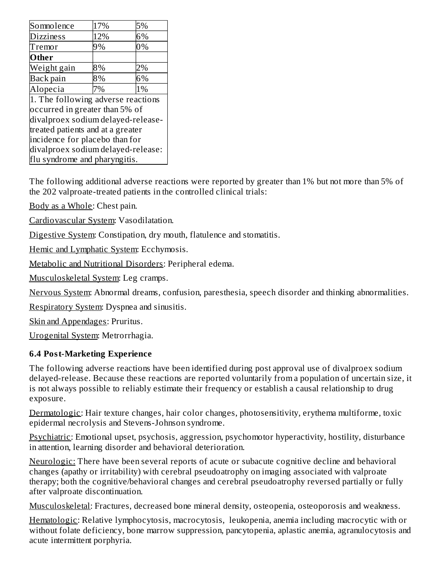| Somnolence                         | 17% | 5% |  |
|------------------------------------|-----|----|--|
| <b>Dizziness</b>                   | 12% | 6% |  |
| Tremor                             | 9%  | 0% |  |
| Other                              |     |    |  |
| Weight gain                        | 8%  | 2% |  |
| <b>Back pain</b>                   | 8%  | 6% |  |
| Alopecia                           | 7%  | 1% |  |
| 1. The following adverse reactions |     |    |  |
| occurred in greater than 5% of     |     |    |  |
| divalproex sodium delayed-release- |     |    |  |
| treated patients and at a greater  |     |    |  |
| incidence for placebo than for     |     |    |  |
| divalproex sodium delayed-release: |     |    |  |
| flu syndrome and pharyngitis.      |     |    |  |

The following additional adverse reactions were reported by greater than 1% but not more than 5% of the 202 valproate-treated patients in the controlled clinical trials:

Body as a Whole: Chest pain.

Cardiovascular System: Vasodilatation.

Digestive System: Constipation, dry mouth, flatulence and stomatitis.

Hemic and Lymphatic System: Ecchymosis.

Metabolic and Nutritional Disorders: Peripheral edema.

Musculoskeletal System: Leg cramps.

Nervous System: Abnormal dreams, confusion, paresthesia, speech disorder and thinking abnormalities.

Respiratory System: Dyspnea and sinusitis.

Skin and Appendages: Pruritus.

Urogenital System: Metrorrhagia.

#### **6.4 Post-Marketing Experience**

The following adverse reactions have been identified during post approval use of divalproex sodium delayed-release. Because these reactions are reported voluntarily from a population of uncertain size, it is not always possible to reliably estimate their frequency or establish a causal relationship to drug exposure.

Dermatologic: Hair texture changes, hair color changes, photosensitivity, erythema multiforme, toxic epidermal necrolysis and Stevens-Johnson syndrome.

Psychiatric: Emotional upset, psychosis, aggression, psychomotor hyperactivity, hostility, disturbance in attention, learning disorder and behavioral deterioration.

Neurologic: There have been several reports of acute or subacute cognitive decline and behavioral changes (apathy or irritability) with cerebral pseudoatrophy on imaging associated with valproate therapy; both the cognitive/behavioral changes and cerebral pseudoatrophy reversed partially or fully after valproate discontinuation.

Musculoskeletal: Fractures, decreased bone mineral density, osteopenia, osteoporosis and weakness.

Hematologic: Relative lymphocytosis, macrocytosis, leukopenia, anemia including macrocytic with or without folate deficiency, bone marrow suppression, pancytopenia, aplastic anemia, agranulocytosis and acute intermittent porphyria.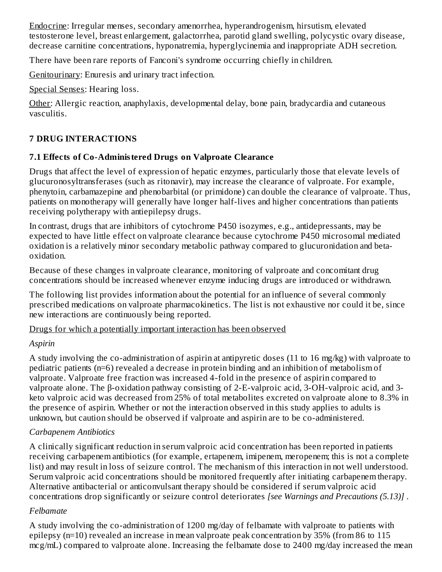Endocrine: Irregular menses, secondary amenorrhea, hyperandrogenism, hirsutism, elevated testosterone level, breast enlargement, galactorrhea, parotid gland swelling, polycystic ovary disease, decrease carnitine concentrations, hyponatremia, hyperglycinemia and inappropriate ADH secretion.

There have been rare reports of Fanconi's syndrome occurring chiefly in children.

Genitourinary: Enuresis and urinary tract infection.

Special Senses: Hearing loss.

Other: Allergic reaction, anaphylaxis, developmental delay, bone pain, bradycardia and cutaneous vasculitis.

## **7 DRUG INTERACTIONS**

## **7.1 Effects of Co-Administered Drugs on Valproate Clearance**

Drugs that affect the level of expression of hepatic enzymes, particularly those that elevate levels of glucuronosyltransferases (such as ritonavir), may increase the clearance of valproate. For example, phenytoin, carbamazepine and phenobarbital (or primidone) can double the clearance of valproate. Thus, patients on monotherapy will generally have longer half-lives and higher concentrations than patients receiving polytherapy with antiepilepsy drugs.

In contrast, drugs that are inhibitors of cytochrome P450 isozymes, e.g., antidepressants, may be expected to have little effect on valproate clearance because cytochrome P450 microsomal mediated oxidation is a relatively minor secondary metabolic pathway compared to glucuronidation and betaoxidation.

Because of these changes in valproate clearance, monitoring of valproate and concomitant drug concentrations should be increased whenever enzyme inducing drugs are introduced or withdrawn.

The following list provides information about the potential for an influence of several commonly prescribed medications on valproate pharmacokinetics. The list is not exhaustive nor could it be, since new interactions are continuously being reported.

Drugs for which a potentially important interaction has been observed

## *Aspirin*

A study involving the co-administration of aspirin at antipyretic doses (11 to 16 mg/kg) with valproate to pediatric patients (n=6) revealed a decrease in protein binding and an inhibition of metabolism of valproate. Valproate free fraction was increased 4-fold in the presence of aspirin compared to valproate alone. The β-oxidation pathway consisting of 2-E-valproic acid, 3-OH-valproic acid, and 3 keto valproic acid was decreased from 25% of total metabolites excreted on valproate alone to 8.3% in the presence of aspirin. Whether or not the interaction observed in this study applies to adults is unknown, but caution should be observed if valproate and aspirin are to be co-administered.

## *Carbapenem Antibiotics*

A clinically significant reduction in serum valproic acid concentration has been reported in patients receiving carbapenem antibiotics (for example, ertapenem, imipenem, meropenem; this is not a complete list) and may result in loss of seizure control. The mechanism of this interaction in not well understood. Serum valproic acid concentrations should be monitored frequently after initiating carbapenem therapy. Alternative antibacterial or anticonvulsant therapy should be considered if serum valproic acid concentrations drop significantly or seizure control deteriorates *[see Warnings and Precautions (5.13)]* .

## *Felbamate*

A study involving the co-administration of 1200 mg/day of felbamate with valproate to patients with epilepsy (n=10) revealed an increase in mean valproate peak concentration by 35% (from 86 to 115 mcg/mL) compared to valproate alone. Increasing the felbamate dose to 2400 mg/day increased the mean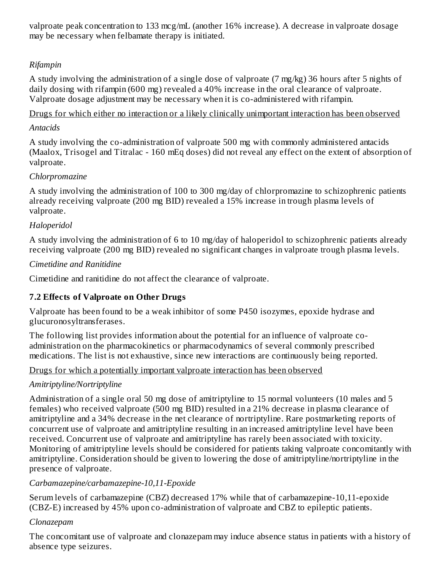valproate peak concentration to 133 mcg/mL (another 16% increase). A decrease in valproate dosage may be necessary when felbamate therapy is initiated.

## *Rifampin*

A study involving the administration of a single dose of valproate (7 mg/kg) 36 hours after 5 nights of daily dosing with rifampin (600 mg) revealed a 40% increase in the oral clearance of valproate. Valproate dosage adjustment may be necessary when it is co-administered with rifampin.

#### Drugs for which either no interaction or a likely clinically unimportant interaction has been observed

#### *Antacids*

A study involving the co-administration of valproate 500 mg with commonly administered antacids (Maalox, Trisogel and Titralac - 160 mEq doses) did not reveal any effect on the extent of absorption of valproate.

#### *Chlorpromazine*

A study involving the administration of 100 to 300 mg/day of chlorpromazine to schizophrenic patients already receiving valproate (200 mg BID) revealed a 15% increase in trough plasma levels of valproate.

#### *Haloperidol*

A study involving the administration of 6 to 10 mg/day of haloperidol to schizophrenic patients already receiving valproate (200 mg BID) revealed no significant changes in valproate trough plasma levels.

#### *Cimetidine and Ranitidine*

Cimetidine and ranitidine do not affect the clearance of valproate.

### **7.2 Effects of Valproate on Other Drugs**

Valproate has been found to be a weak inhibitor of some P450 isozymes, epoxide hydrase and glucuronosyltransferases.

The following list provides information about the potential for an influence of valproate coadministration on the pharmacokinetics or pharmacodynamics of several commonly prescribed medications. The list is not exhaustive, since new interactions are continuously being reported.

### Drugs for which a potentially important valproate interaction has been observed

## *Amitriptyline/Nortriptyline*

Administration of a single oral 50 mg dose of amitriptyline to 15 normal volunteers (10 males and 5 females) who received valproate (500 mg BID) resulted in a 21% decrease in plasma clearance of amitriptyline and a 34% decrease in the net clearance of nortriptyline. Rare postmarketing reports of concurrent use of valproate and amitriptyline resulting in an increased amitriptyline level have been received. Concurrent use of valproate and amitriptyline has rarely been associated with toxicity. Monitoring of amitriptyline levels should be considered for patients taking valproate concomitantly with amitriptyline. Consideration should be given to lowering the dose of amitriptyline/nortriptyline in the presence of valproate.

### *Carbamazepine/carbamazepine-10,11-Epoxide*

Serum levels of carbamazepine (CBZ) decreased 17% while that of carbamazepine-10,11-epoxide (CBZ-E) increased by 45% upon co-administration of valproate and CBZ to epileptic patients.

### *Clonazepam*

The concomitant use of valproate and clonazepam may induce absence status in patients with a history of absence type seizures.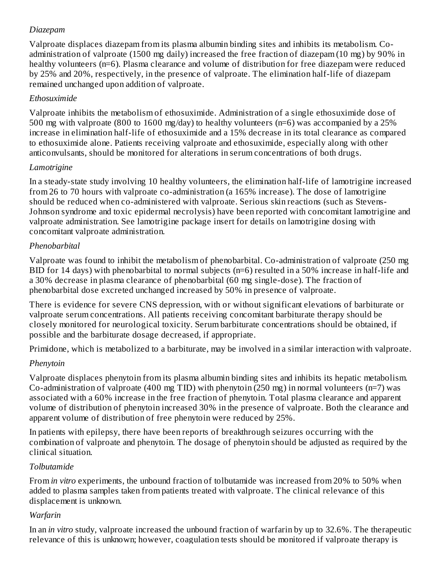### *Diazepam*

Valproate displaces diazepam from its plasma albumin binding sites and inhibits its metabolism. Coadministration of valproate (1500 mg daily) increased the free fraction of diazepam (10 mg) by 90% in healthy volunteers (n=6). Plasma clearance and volume of distribution for free diazepam were reduced by 25% and 20%, respectively, in the presence of valproate. The elimination half-life of diazepam remained unchanged upon addition of valproate.

#### *Ethosuximide*

Valproate inhibits the metabolism of ethosuximide. Administration of a single ethosuximide dose of 500 mg with valproate (800 to 1600 mg/day) to healthy volunteers (n=6) was accompanied by a 25% increase in elimination half-life of ethosuximide and a 15% decrease in its total clearance as compared to ethosuximide alone. Patients receiving valproate and ethosuximide, especially along with other anticonvulsants, should be monitored for alterations in serum concentrations of both drugs.

#### *Lamotrigine*

In a steady-state study involving 10 healthy volunteers, the elimination half-life of lamotrigine increased from 26 to 70 hours with valproate co-administration (a 165% increase). The dose of lamotrigine should be reduced when co-administered with valproate. Serious skin reactions (such as Stevens-Johnson syndrome and toxic epidermal necrolysis) have been reported with concomitant lamotrigine and valproate administration. See lamotrigine package insert for details on lamotrigine dosing with concomitant valproate administration.

#### *Phenobarbital*

Valproate was found to inhibit the metabolism of phenobarbital. Co-administration of valproate (250 mg BID for 14 days) with phenobarbital to normal subjects (n=6) resulted in a 50% increase in half-life and a 30% decrease in plasma clearance of phenobarbital (60 mg single-dose). The fraction of phenobarbital dose excreted unchanged increased by 50% in presence of valproate.

There is evidence for severe CNS depression, with or without significant elevations of barbiturate or valproate serum concentrations. All patients receiving concomitant barbiturate therapy should be closely monitored for neurological toxicity. Serum barbiturate concentrations should be obtained, if possible and the barbiturate dosage decreased, if appropriate.

Primidone, which is metabolized to a barbiturate, may be involved in a similar interaction with valproate.

### *Phenytoin*

Valproate displaces phenytoin from its plasma albumin binding sites and inhibits its hepatic metabolism. Co-administration of valproate (400 mg TID) with phenytoin (250 mg) in normal volunteers (n=7) was associated with a 60% increase in the free fraction of phenytoin. Total plasma clearance and apparent volume of distribution of phenytoin increased 30% in the presence of valproate. Both the clearance and apparent volume of distribution of free phenytoin were reduced by 25%.

In patients with epilepsy, there have been reports of breakthrough seizures occurring with the combination of valproate and phenytoin. The dosage of phenytoin should be adjusted as required by the clinical situation.

### *Tolbutamide*

From *in vitro* experiments, the unbound fraction of tolbutamide was increased from 20% to 50% when added to plasma samples taken from patients treated with valproate. The clinical relevance of this displacement is unknown.

#### *Warfarin*

In an *in vitro* study, valproate increased the unbound fraction of warfarin by up to 32.6%. The therapeutic relevance of this is unknown; however, coagulation tests should be monitored if valproate therapy is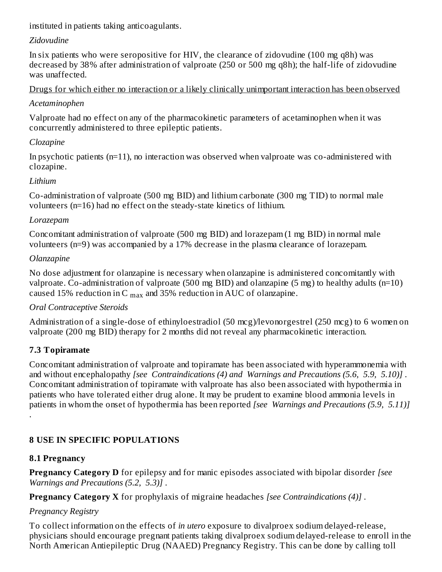instituted in patients taking anticoagulants.

#### *Zidovudine*

In six patients who were seropositive for HIV, the clearance of zidovudine (100 mg q8h) was decreased by 38% after administration of valproate (250 or 500 mg q8h); the half-life of zidovudine was unaffected.

Drugs for which either no interaction or a likely clinically unimportant interaction has been observed

#### *Acetaminophen*

Valproate had no effect on any of the pharmacokinetic parameters of acetaminophen when it was concurrently administered to three epileptic patients.

## *Clozapine*

In psychotic patients  $(n=11)$ , no interaction was observed when valproate was co-administered with clozapine.

## *Lithium*

Co-administration of valproate (500 mg BID) and lithium carbonate (300 mg TID) to normal male volunteers (n=16) had no effect on the steady-state kinetics of lithium.

#### *Lorazepam*

Concomitant administration of valproate (500 mg BID) and lorazepam (1 mg BID) in normal male volunteers (n=9) was accompanied by a 17% decrease in the plasma clearance of lorazepam.

### *Olanzapine*

No dose adjustment for olanzapine is necessary when olanzapine is administered concomitantly with valproate. Co-administration of valproate (500 mg BID) and olanzapine (5 mg) to healthy adults (n=10) caused 15% reduction in C  $_{\rm max}$  and 35% reduction in AUC of olanzapine.

### *Oral Contraceptive Steroids*

Administration of a single-dose of ethinyloestradiol (50 mcg)/levonorgestrel (250 mcg) to 6 women on valproate (200 mg BID) therapy for 2 months did not reveal any pharmacokinetic interaction.

## **7.3 Topiramate**

Concomitant administration of valproate and topiramate has been associated with hyperammonemia with and without encephalopathy *[see Contraindications (4) and Warnings and Precautions (5.6, 5.9, 5.10)]* . Concomitant administration of topiramate with valproate has also been associated with hypothermia in patients who have tolerated either drug alone. It may be prudent to examine blood ammonia levels in patients in whom the onset of hypothermia has been reported *[see Warnings and Precautions (5.9, 5.11)]*

#### .

# **8 USE IN SPECIFIC POPULATIONS**

## **8.1 Pregnancy**

**Pregnancy Category D** for epilepsy and for manic episodes associated with bipolar disorder *[see Warnings and Precautions (5.2, 5.3)]* .

**Pregnancy Category X** for prophylaxis of migraine headaches *[see Contraindications (4)]* .

# *Pregnancy Registry*

To collect information on the effects of *in utero* exposure to divalproex sodium delayed-release, physicians should encourage pregnant patients taking divalproex sodium delayed-release to enroll in the North American Antiepileptic Drug (NAAED) Pregnancy Registry. This can be done by calling toll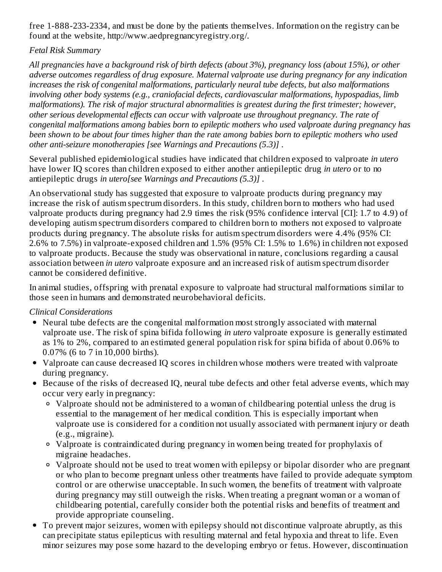free 1-888-233-2334, and must be done by the patients themselves. Information on the registry can be found at the website, http://www.aedpregnancyregistry.org/.

#### *Fetal Risk Summary*

*All pregnancies have a background risk of birth defects (about 3%), pregnancy loss (about 15%), or other adverse outcomes regardless of drug exposure. Maternal valproate use during pregnancy for any indication increases the risk of congenital malformations, particularly neural tube defects, but also malformations involving other body systems (e.g., craniofacial defects, cardiovascular malformations, hypospadias, limb malformations). The risk of major structural abnormalities is greatest during the first trimester; however, other serious developmental effects can occur with valproate use throughout pregnancy. The rate of congenital malformations among babies born to epileptic mothers who used valproate during pregnancy has* been shown to be about four times higher than the rate among babies born to epileptic mothers who used *other anti-seizure monotherapies [see Warnings and Precautions (5.3)]* .

Several published epidemiological studies have indicated that children exposed to valproate *in utero* have lower IQ scores than children exposed to either another antiepileptic drug *in utero* or to no antiepileptic drugs *in utero[see Warnings and Precautions (5.3)]* .

An observational study has suggested that exposure to valproate products during pregnancy may increase the risk of autism spectrum disorders. In this study, children born to mothers who had used valproate products during pregnancy had 2.9 times the risk (95% confidence interval [CI]: 1.7 to 4.9) of developing autism spectrum disorders compared to children born to mothers not exposed to valproate products during pregnancy. The absolute risks for autism spectrum disorders were 4.4% (95% CI: 2.6% to 7.5%) in valproate-exposed children and 1.5% (95% CI: 1.5% to 1.6%) in children not exposed to valproate products. Because the study was observational in nature, conclusions regarding a causal association between *in utero* valproate exposure and an increased risk of autism spectrum disorder cannot be considered definitive.

In animal studies, offspring with prenatal exposure to valproate had structural malformations similar to those seen in humans and demonstrated neurobehavioral deficits.

### *Clinical Considerations*

- Neural tube defects are the congenital malformation most strongly associated with maternal valproate use. The risk of spina bifida following *in utero* valproate exposure is generally estimated as 1% to 2%, compared to an estimated general population risk for spina bifida of about 0.06% to 0.07% (6 to 7 in 10,000 births).
- Valproate can cause decreased IQ scores in children whose mothers were treated with valproate during pregnancy.
- Because of the risks of decreased IQ, neural tube defects and other fetal adverse events, which may occur very early in pregnancy:
	- Valproate should not be administered to a woman of childbearing potential unless the drug is essential to the management of her medical condition. This is especially important when valproate use is considered for a condition not usually associated with permanent injury or death (e.g., migraine).
	- Valproate is contraindicated during pregnancy in women being treated for prophylaxis of migraine headaches.
	- Valproate should not be used to treat women with epilepsy or bipolar disorder who are pregnant or who plan to become pregnant unless other treatments have failed to provide adequate symptom control or are otherwise unacceptable. In such women, the benefits of treatment with valproate during pregnancy may still outweigh the risks. When treating a pregnant woman or a woman of childbearing potential, carefully consider both the potential risks and benefits of treatment and provide appropriate counseling.
- To prevent major seizures, women with epilepsy should not discontinue valproate abruptly, as this can precipitate status epilepticus with resulting maternal and fetal hypoxia and threat to life. Even minor seizures may pose some hazard to the developing embryo or fetus. However, discontinuation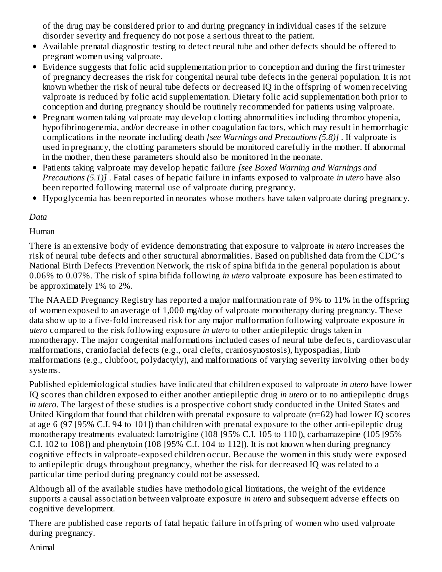of the drug may be considered prior to and during pregnancy in individual cases if the seizure disorder severity and frequency do not pose a serious threat to the patient.

- Available prenatal diagnostic testing to detect neural tube and other defects should be offered to pregnant women using valproate.
- Evidence suggests that folic acid supplementation prior to conception and during the first trimester of pregnancy decreases the risk for congenital neural tube defects in the general population. It is not known whether the risk of neural tube defects or decreased IQ in the offspring of women receiving valproate is reduced by folic acid supplementation. Dietary folic acid supplementation both prior to conception and during pregnancy should be routinely recommended for patients using valproate.
- Pregnant women taking valproate may develop clotting abnormalities including thrombocytopenia, hypofibrinogenemia, and/or decrease in other coagulation factors, which may result in hemorrhagic complications in the neonate including death *[see Warnings and Precautions (5.8)]* . If valproate is used in pregnancy, the clotting parameters should be monitored carefully in the mother. If abnormal in the mother, then these parameters should also be monitored in the neonate.
- Patients taking valproate may develop hepatic failure *[see Boxed Warning and Warnings and Precautions (5.1)]* . Fatal cases of hepatic failure in infants exposed to valproate *in utero* have also been reported following maternal use of valproate during pregnancy.
- Hypoglycemia has been reported in neonates whose mothers have taken valproate during pregnancy.

#### *Data*

Human

There is an extensive body of evidence demonstrating that exposure to valproate *in utero* increases the risk of neural tube defects and other structural abnormalities. Based on published data from the CDC's National Birth Defects Prevention Network, the risk of spina bifida in the general population is about 0.06% to 0.07%. The risk of spina bifida following *in utero* valproate exposure has been estimated to be approximately 1% to 2%.

The NAAED Pregnancy Registry has reported a major malformation rate of 9% to 11% in the offspring of women exposed to an average of 1,000 mg/day of valproate monotherapy during pregnancy. These data show up to a five-fold increased risk for any major malformation following valproate exposure *in utero* compared to the risk following exposure *in utero* to other antiepileptic drugs taken in monotherapy. The major congenital malformations included cases of neural tube defects, cardiovascular malformations, craniofacial defects (e.g., oral clefts, craniosynostosis), hypospadias, limb malformations (e.g., clubfoot, polydactyly), and malformations of varying severity involving other body systems.

Published epidemiological studies have indicated that children exposed to valproate *in utero* have lower IQ scores than children exposed to either another antiepileptic drug *in utero* or to no antiepileptic drugs *in utero*. The largest of these studies is a prospective cohort study conducted in the United States and United Kingdom that found that children with prenatal exposure to valproate (n=62) had lower IQ scores at age 6 (97 [95% C.I. 94 to 101]) than children with prenatal exposure to the other anti-epileptic drug monotherapy treatments evaluated: lamotrigine (108 [95% C.I. 105 to 110]), carbamazepine (105 [95% C.I. 102 to 108]) and phenytoin (108 [95% C.I. 104 to 112]). It is not known when during pregnancy cognitive effects in valproate-exposed children occur. Because the women in this study were exposed to antiepileptic drugs throughout pregnancy, whether the risk for decreased IQ was related to a particular time period during pregnancy could not be assessed.

Although all of the available studies have methodological limitations, the weight of the evidence supports a causal association between valproate exposure *in utero* and subsequent adverse effects on cognitive development.

There are published case reports of fatal hepatic failure in offspring of women who used valproate during pregnancy.

Animal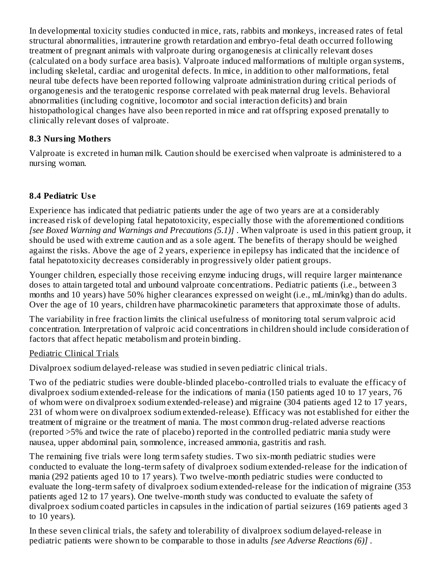In developmental toxicity studies conducted in mice, rats, rabbits and monkeys, increased rates of fetal structural abnormalities, intrauterine growth retardation and embryo-fetal death occurred following treatment of pregnant animals with valproate during organogenesis at clinically relevant doses (calculated on a body surface area basis). Valproate induced malformations of multiple organ systems, including skeletal, cardiac and urogenital defects. In mice, in addition to other malformations, fetal neural tube defects have been reported following valproate administration during critical periods of organogenesis and the teratogenic response correlated with peak maternal drug levels. Behavioral abnormalities (including cognitive, locomotor and social interaction deficits) and brain histopathological changes have also been reported in mice and rat offspring exposed prenatally to clinically relevant doses of valproate.

### **8.3 Nursing Mothers**

Valproate is excreted in human milk. Caution should be exercised when valproate is administered to a nursing woman.

### **8.4 Pediatric Us e**

Experience has indicated that pediatric patients under the age of two years are at a considerably increased risk of developing fatal hepatotoxicity, especially those with the aforementioned conditions *[see Boxed Warning and Warnings and Precautions (5.1)]* . When valproate is used in this patient group, it should be used with extreme caution and as a sole agent. The benefits of therapy should be weighed against the risks. Above the age of 2 years, experience in epilepsy has indicated that the incidence of fatal hepatotoxicity decreases considerably in progressively older patient groups.

Younger children, especially those receiving enzyme inducing drugs, will require larger maintenance doses to attain targeted total and unbound valproate concentrations. Pediatric patients (i.e., between 3 months and 10 years) have 50% higher clearances expressed on weight (i.e., mL/min/kg) than do adults. Over the age of 10 years, children have pharmacokinetic parameters that approximate those of adults.

The variability in free fraction limits the clinical usefulness of monitoring total serum valproic acid concentration. Interpretation of valproic acid concentrations in children should include consideration of factors that affect hepatic metabolism and protein binding.

### Pediatric Clinical Trials

Divalproex sodium delayed-release was studied in seven pediatric clinical trials.

Two of the pediatric studies were double-blinded placebo-controlled trials to evaluate the efficacy of divalproex sodium extended-release for the indications of mania (150 patients aged 10 to 17 years, 76 of whom were on divalproex sodium extended-release) and migraine (304 patients aged 12 to 17 years, 231 of whom were on divalproex sodium extended-release). Efficacy was not established for either the treatment of migraine or the treatment of mania. The most common drug-related adverse reactions (reported >5% and twice the rate of placebo) reported in the controlled pediatric mania study were nausea, upper abdominal pain, somnolence, increased ammonia, gastritis and rash.

The remaining five trials were long term safety studies. Two six-month pediatric studies were conducted to evaluate the long-term safety of divalproex sodium extended-release for the indication of mania (292 patients aged 10 to 17 years). Two twelve-month pediatric studies were conducted to evaluate the long-term safety of divalproex sodium extended-release for the indication of migraine (353 patients aged 12 to 17 years). One twelve-month study was conducted to evaluate the safety of divalproex sodium coated particles in capsules in the indication of partial seizures (169 patients aged 3 to 10 years).

In these seven clinical trials, the safety and tolerability of divalproex sodium delayed-release in pediatric patients were shown to be comparable to those in adults *[see Adverse Reactions (6)]* .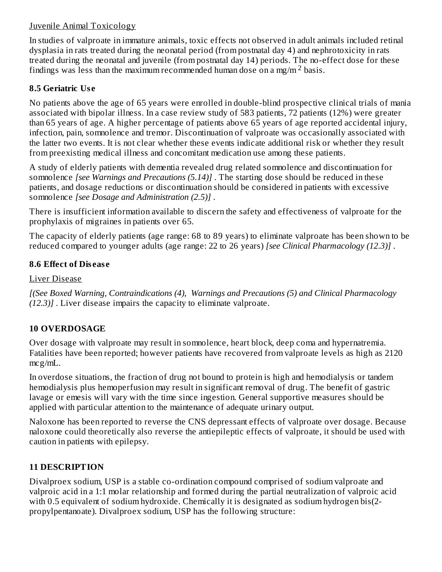#### Juvenile Animal Toxicology

In studies of valproate in immature animals, toxic effects not observed in adult animals included retinal dysplasia in rats treated during the neonatal period (from postnatal day 4) and nephrotoxicity in rats treated during the neonatal and juvenile (from postnatal day 14) periods. The no-effect dose for these findings was less than the maximum recommended human dose on a mg/m<sup>2</sup> basis.

#### **8.5 Geriatric Us e**

No patients above the age of 65 years were enrolled in double-blind prospective clinical trials of mania associated with bipolar illness. In a case review study of 583 patients, 72 patients (12%) were greater than 65 years of age. A higher percentage of patients above 65 years of age reported accidental injury, infection, pain, somnolence and tremor. Discontinuation of valproate was occasionally associated with the latter two events. It is not clear whether these events indicate additional risk or whether they result from preexisting medical illness and concomitant medication use among these patients.

A study of elderly patients with dementia revealed drug related somnolence and discontinuation for somnolence *[see Warnings and Precautions (5.14)]* . The starting dose should be reduced in these patients, and dosage reductions or discontinuation should be considered in patients with excessive somnolence *[see Dosage and Administration (2.5)]* .

There is insufficient information available to discern the safety and effectiveness of valproate for the prophylaxis of migraines in patients over 65.

The capacity of elderly patients (age range: 68 to 89 years) to eliminate valproate has been shown to be reduced compared to younger adults (age range: 22 to 26 years) *[see Clinical Pharmacology (12.3)]* .

#### **8.6 Effect of Dis eas e**

#### Liver Disease

*[(See Boxed Warning, Contraindications (4), Warnings and Precautions (5) and Clinical Pharmacology (12.3)]* . Liver disease impairs the capacity to eliminate valproate.

### **10 OVERDOSAGE**

Over dosage with valproate may result in somnolence, heart block, deep coma and hypernatremia. Fatalities have been reported; however patients have recovered from valproate levels as high as 2120 mcg/mL.

In overdose situations, the fraction of drug not bound to protein is high and hemodialysis or tandem hemodialysis plus hemoperfusion may result in significant removal of drug. The benefit of gastric lavage or emesis will vary with the time since ingestion. General supportive measures should be applied with particular attention to the maintenance of adequate urinary output.

Naloxone has been reported to reverse the CNS depressant effects of valproate over dosage. Because naloxone could theoretically also reverse the antiepileptic effects of valproate, it should be used with caution in patients with epilepsy.

### **11 DESCRIPTION**

Divalproex sodium, USP is a stable co-ordination compound comprised of sodium valproate and valproic acid in a 1:1 molar relationship and formed during the partial neutralization of valproic acid with 0.5 equivalent of sodium hydroxide. Chemically it is designated as sodium hydrogen bis(2 propylpentanoate). Divalproex sodium, USP has the following structure: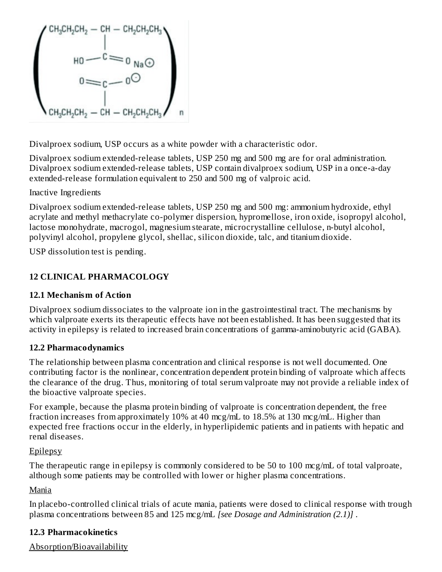$$
\left(\begin{smallmatrix}CH_{3}CH_{2}CH_{2} & - CH & - CH_{2}CH_{2}CH_{3} \\ | & | & \\ H0 & -C & | & \\ 0 & = & 0 & \text{Na} \oplus \\ 0 & = & C & -O \\ CH_{3}CH_{2}CH_{2} & - CH & - CH_{2}CH_{2}CH_{3} \end{smallmatrix}\right)_{n}
$$

Divalproex sodium, USP occurs as a white powder with a characteristic odor.

Divalproex sodium extended-release tablets, USP 250 mg and 500 mg are for oral administration. Divalproex sodium extended-release tablets, USP contain divalproex sodium, USP in a once-a-day extended-release formulation equivalent to 250 and 500 mg of valproic acid.

Inactive Ingredients

Divalproex sodium extended-release tablets, USP 250 mg and 500 mg: ammonium hydroxide, ethyl acrylate and methyl methacrylate co-polymer dispersion, hypromellose, iron oxide, isopropyl alcohol, lactose monohydrate, macrogol, magnesium stearate, microcrystalline cellulose, n-butyl alcohol, polyvinyl alcohol, propylene glycol, shellac, silicon dioxide, talc, and titanium dioxide.

USP dissolution test is pending.

## **12 CLINICAL PHARMACOLOGY**

#### **12.1 Mechanism of Action**

Divalproex sodium dissociates to the valproate ion in the gastrointestinal tract. The mechanisms by which valproate exerts its therapeutic effects have not been established. It has been suggested that its activity in epilepsy is related to increased brain concentrations of gamma-aminobutyric acid (GABA).

### **12.2 Pharmacodynamics**

The relationship between plasma concentration and clinical response is not well documented. One contributing factor is the nonlinear, concentration dependent protein binding of valproate which affects the clearance of the drug. Thus, monitoring of total serum valproate may not provide a reliable index of the bioactive valproate species.

For example, because the plasma protein binding of valproate is concentration dependent, the free fraction increases from approximately 10% at 40 mcg/mL to 18.5% at 130 mcg/mL. Higher than expected free fractions occur in the elderly, in hyperlipidemic patients and in patients with hepatic and renal diseases.

### Epilepsy

The therapeutic range in epilepsy is commonly considered to be 50 to 100 mcg/mL of total valproate, although some patients may be controlled with lower or higher plasma concentrations.

### Mania

In placebo-controlled clinical trials of acute mania, patients were dosed to clinical response with trough plasma concentrations between 85 and 125 mcg/mL *[see Dosage and Administration (2.1)]* .

### **12.3 Pharmacokinetics**

Absorption/Bioavailability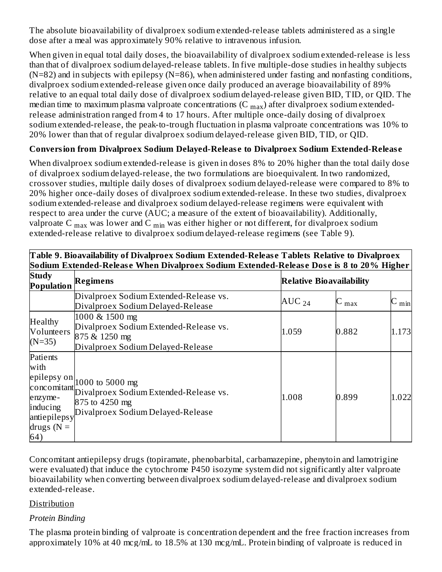The absolute bioavailability of divalproex sodium extended-release tablets administered as a single dose after a meal was approximately 90% relative to intravenous infusion.

When given in equal total daily doses, the bioavailability of divalproex sodium extended-release is less than that of divalproex sodium delayed-release tablets. In five multiple-dose studies in healthy subjects  $(N=82)$  and in subjects with epilepsy  $(N=86)$ , when administered under fasting and nonfasting conditions, divalproex sodium extended-release given once daily produced an average bioavailability of 89% relative to an equal total daily dose of divalproex sodium delayed-release given BID, TID, or QID. The median time to maximum plasma valproate concentrations (C  $_{\rm max}$ ) after divalproex sodium extendedrelease administration ranged from 4 to 17 hours. After multiple once-daily dosing of divalproex sodium extended-release, the peak-to-trough fluctuation in plasma valproate concentrations was 10% to 20% lower than that of regular divalproex sodium delayed-release given BID, TID, or QID.

## **Conversion from Divalproex Sodium Delayed-Releas e to Divalproex Sodium Extended-Releas e**

When divalproex sodium extended-release is given in doses 8% to 20% higher than the total daily dose of divalproex sodium delayed-release, the two formulations are bioequivalent. In two randomized, crossover studies, multiple daily doses of divalproex sodium delayed-release were compared to 8% to 20% higher once-daily doses of divalproex sodium extended-release. In these two studies, divalproex sodium extended-release and divalproex sodium delayed-release regimens were equivalent with respect to area under the curve (AUC; a measure of the extent of bioavailability). Additionally, valproate C  $_{\rm max}$  was lower and C  $_{\rm min}$  was either higher or not different, for divalproex sodium extended-release relative to divalproex sodium delayed-release regimens (see Table 9).

| <b>Study</b><br><b>Population</b>                                               | <b>Relative Bioavailability</b><br><b>Regimens</b>                                                                                               |             |                                 |                  |
|---------------------------------------------------------------------------------|--------------------------------------------------------------------------------------------------------------------------------------------------|-------------|---------------------------------|------------------|
|                                                                                 | Divalproex Sodium Extended-Release vs.<br>Divalproex Sodium Delayed-Release                                                                      | AUC $_{24}$ | $\overline{\phantom{0}}$<br>max | $C_{\text{min}}$ |
| Healthy<br>Volunteers<br>$(N=35)$                                               | 1000 & 1500 mg<br>Divalproex Sodium Extended-Release vs.<br>875 & 1250 mg<br>Divalproex Sodium Delayed-Release                                   | 1.059       | 0.882                           | 1.173            |
| Patients<br>with<br>enzyme-<br>inducing<br>antiepilepsy<br>drugs ( $N =$<br>64) | epilepsy on $\vert$ 1000 to 5000 mg<br>concomitant Divalproex Sodium Extended-Release vs.<br>875 to 4250 mg<br>Divalproex Sodium Delayed-Release | 1.008       | 0.899                           | 1.022            |

**Table 9. Bioavailability of Divalproex Sodium Extended-Releas e Tablets Relative to Divalproex Sodium Extended-Releas e When Divalproex Sodium Extended-Releas e Dos e is 8 to 20% Higher**

Concomitant antiepilepsy drugs (topiramate, phenobarbital, carbamazepine, phenytoin and lamotrigine were evaluated) that induce the cytochrome P450 isozyme system did not significantly alter valproate bioavailability when converting between divalproex sodium delayed-release and divalproex sodium extended-release.

#### **Distribution**

#### *Protein Binding*

The plasma protein binding of valproate is concentration dependent and the free fraction increases from approximately 10% at 40 mcg/mL to 18.5% at 130 mcg/mL. Protein binding of valproate is reduced in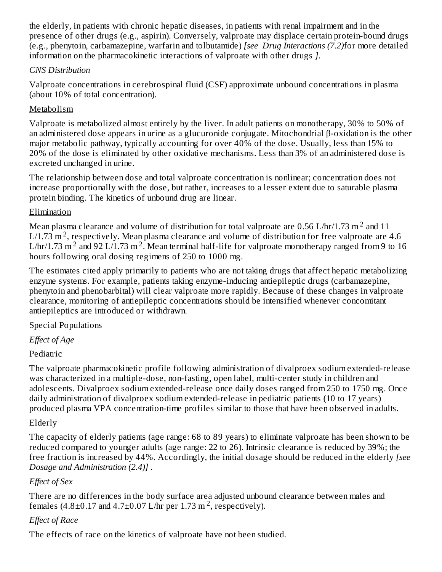the elderly, in patients with chronic hepatic diseases, in patients with renal impairment and in the presence of other drugs (e.g., aspirin). Conversely, valproate may displace certain protein-bound drugs (e.g., phenytoin, carbamazepine, warfarin and tolbutamide) *[see Drug Interactions (7.2)*for more detailed information on the pharmacokinetic interactions of valproate with other drugs *]*.

### *CNS Distribution*

Valproate concentrations in cerebrospinal fluid (CSF) approximate unbound concentrations in plasma (about 10% of total concentration).

## **Metabolism**

Valproate is metabolized almost entirely by the liver. In adult patients on monotherapy, 30% to 50% of an administered dose appears in urine as a glucuronide conjugate. Mitochondrial β-oxidation is the other major metabolic pathway, typically accounting for over 40% of the dose. Usually, less than 15% to 20% of the dose is eliminated by other oxidative mechanisms. Less than 3% of an administered dose is excreted unchanged in urine.

The relationship between dose and total valproate concentration is nonlinear; concentration does not increase proportionally with the dose, but rather, increases to a lesser extent due to saturable plasma protein binding. The kinetics of unbound drug are linear.

## Elimination

Mean plasma clearance and volume of distribution for total valproate are 0.56 L/hr/1.73 m<sup>2</sup> and 11 L/1.73 m<sup>2</sup>, respectively. Mean plasma clearance and volume of distribution for free valproate are 4.6 L/hr/1.73 m<sup>2</sup> and 92 L/1.73 m<sup>2</sup>. Mean terminal half-life for valproate monotherapy ranged from 9 to 16 hours following oral dosing regimens of 250 to 1000 mg.

The estimates cited apply primarily to patients who are not taking drugs that affect hepatic metabolizing enzyme systems. For example, patients taking enzyme-inducing antiepileptic drugs (carbamazepine, phenytoin and phenobarbital) will clear valproate more rapidly. Because of these changes in valproate clearance, monitoring of antiepileptic concentrations should be intensified whenever concomitant antiepileptics are introduced or withdrawn.

### Special Populations

### *Effect of Age*

## Pediatric

The valproate pharmacokinetic profile following administration of divalproex sodium extended-release was characterized in a multiple-dose, non-fasting, open label, multi-center study in children and adolescents. Divalproex sodium extended-release once daily doses ranged from 250 to 1750 mg. Once daily administration of divalproex sodium extended-release in pediatric patients (10 to 17 years) produced plasma VPA concentration-time profiles similar to those that have been observed in adults.

## Elderly

The capacity of elderly patients (age range: 68 to 89 years) to eliminate valproate has been shown to be reduced compared to younger adults (age range: 22 to 26). Intrinsic clearance is reduced by 39%; the free fraction is increased by 44%. Accordingly, the initial dosage should be reduced in the elderly *[see Dosage and Administration (2.4)]* .

### *Effect of Sex*

There are no differences in the body surface area adjusted unbound clearance between males and females (4.8 $\pm$ 0.17 and 4.7 $\pm$ 0.07 L/hr per 1.73 m<sup>2</sup>, respectively).

# *Effect of Race*

The effects of race on the kinetics of valproate have not been studied.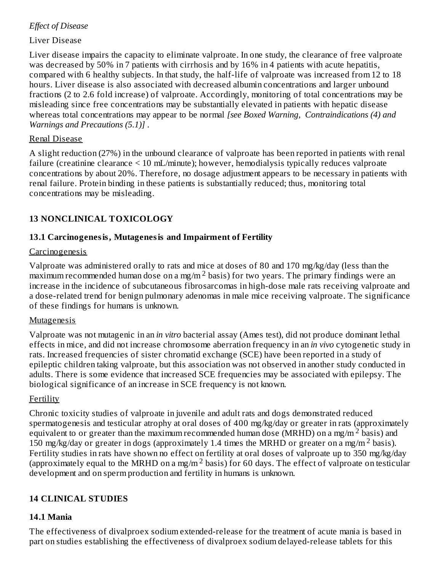## *Effect of Disease*

### Liver Disease

Liver disease impairs the capacity to eliminate valproate. In one study, the clearance of free valproate was decreased by 50% in 7 patients with cirrhosis and by 16% in 4 patients with acute hepatitis, compared with 6 healthy subjects. In that study, the half-life of valproate was increased from 12 to 18 hours. Liver disease is also associated with decreased albumin concentrations and larger unbound fractions (2 to 2.6 fold increase) of valproate. Accordingly, monitoring of total concentrations may be misleading since free concentrations may be substantially elevated in patients with hepatic disease whereas total concentrations may appear to be normal *[see Boxed Warning, Contraindications (4) and Warnings and Precautions (5.1)]* .

#### Renal Disease

A slight reduction (27%) in the unbound clearance of valproate has been reported in patients with renal failure (creatinine clearance < 10 mL/minute); however, hemodialysis typically reduces valproate concentrations by about 20%. Therefore, no dosage adjustment appears to be necessary in patients with renal failure. Protein binding in these patients is substantially reduced; thus, monitoring total concentrations may be misleading.

## **13 NONCLINICAL TOXICOLOGY**

## **13.1 Carcinogenesis, Mutagenesis and Impairment of Fertility**

#### **Carcinogenesis**

Valproate was administered orally to rats and mice at doses of 80 and 170 mg/kg/day (less than the  $maximum$  recommended human dose on a mg/m<sup>2</sup> basis) for two years. The primary findings were an increase in the incidence of subcutaneous fibrosarcomas in high-dose male rats receiving valproate and a dose-related trend for benign pulmonary adenomas in male mice receiving valproate. The significance of these findings for humans is unknown.

### Mutagenesis

Valproate was not mutagenic in an *in vitro* bacterial assay (Ames test), did not produce dominant lethal effects in mice, and did not increase chromosome aberration frequency in an *in vivo* cytogenetic study in rats. Increased frequencies of sister chromatid exchange (SCE) have been reported in a study of epileptic children taking valproate, but this association was not observed in another study conducted in adults. There is some evidence that increased SCE frequencies may be associated with epilepsy. The biological significance of an increase in SCE frequency is not known.

### **Fertility**

Chronic toxicity studies of valproate in juvenile and adult rats and dogs demonstrated reduced spermatogenesis and testicular atrophy at oral doses of 400 mg/kg/day or greater in rats (approximately equivalent to or greater than the maximum recommended human dose (MRHD) on a mg/m<sup>2</sup> basis) and 150 mg/kg/day or greater in dogs (approximately 1.4 times the MRHD or greater on a mg/m<sup>2</sup> basis). Fertility studies in rats have shown no effect on fertility at oral doses of valproate up to 350 mg/kg/day (approximately equal to the MRHD on a mg/m<sup>2</sup> basis) for 60 days. The effect of valproate on testicular development and on sperm production and fertility in humans is unknown.

## **14 CLINICAL STUDIES**

### **14.1 Mania**

The effectiveness of divalproex sodium extended-release for the treatment of acute mania is based in part on studies establishing the effectiveness of divalproex sodium delayed-release tablets for this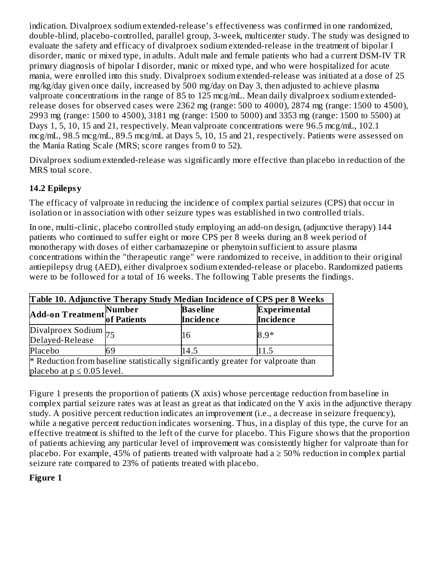indication. Divalproex sodium extended-release's effectiveness was confirmed in one randomized, double-blind, placebo-controlled, parallel group, 3-week, multicenter study. The study was designed to evaluate the safety and efficacy of divalproex sodium extended-release in the treatment of bipolar I disorder, manic or mixed type, in adults. Adult male and female patients who had a current DSM-IV TR primary diagnosis of bipolar I disorder, manic or mixed type, and who were hospitalized for acute mania, were enrolled into this study. Divalproex sodium extended-release was initiated at a dose of 25 mg/kg/day given once daily, increased by 500 mg/day on Day 3, then adjusted to achieve plasma valproate concentrations in the range of 85 to 125 mcg/mL. Mean daily divalproex sodium extendedrelease doses for observed cases were 2362 mg (range: 500 to 4000), 2874 mg (range: 1500 to 4500), 2993 mg (range: 1500 to 4500), 3181 mg (range: 1500 to 5000) and 3353 mg (range: 1500 to 5500) at Days 1, 5, 10, 15 and 21, respectively. Mean valproate concentrations were 96.5 mcg/mL, 102.1 mcg/mL, 98.5 mcg/mL, 89.5 mcg/mL at Days 5, 10, 15 and 21, respectively. Patients were assessed on the Mania Rating Scale (MRS; score ranges from 0 to 52).

Divalproex sodium extended-release was significantly more effective than placebo in reduction of the MRS total score.

## **14.2 Epilepsy**

The efficacy of valproate in reducing the incidence of complex partial seizures (CPS) that occur in isolation or in association with other seizure types was established in two controlled trials.

In one, multi-clinic, placebo controlled study employing an add-on design, (adjunctive therapy) 144 patients who continued to suffer eight or more CPS per 8 weeks during an 8 week period of monotherapy with doses of either carbamazepine or phenytoin sufficient to assure plasma concentrations within the "therapeutic range" were randomized to receive, in addition to their original antiepilepsy drug (AED), either divalproex sodium extended-release or placebo. Randomized patients were to be followed for a total of 16 weeks. The following Table presents the findings.

| Table 10. Adjunctive Therapy Study Median Incidence of CPS per 8 Weeks                                             |    |                              |                                  |  |
|--------------------------------------------------------------------------------------------------------------------|----|------------------------------|----------------------------------|--|
| Add-on Treatment Number<br>of Patients                                                                             |    | <b>Baseline</b><br>Incidence | <b>Experimental</b><br>Incidence |  |
| Divalproex Sodium<br>Delayed-Release                                                                               |    | 16                           | $8.9*$                           |  |
| Placebo                                                                                                            | 69 | 14.5                         | 11.5                             |  |
| * Reduction from baseline statistically significantly greater for valproate than<br>placebo at $p \le 0.05$ level. |    |                              |                                  |  |

Figure 1 presents the proportion of patients (X axis) whose percentage reduction from baseline in complex partial seizure rates was at least as great as that indicated on the Y axis in the adjunctive therapy study. A positive percent reduction indicates an improvement (i.e., a decrease in seizure frequency), while a negative percent reduction indicates worsening. Thus, in a display of this type, the curve for an effective treatment is shifted to the left of the curve for placebo. This Figure shows that the proportion of patients achieving any particular level of improvement was consistently higher for valproate than for placebo. For example, 45% of patients treated with valproate had a  $\geq$  50% reduction in complex partial seizure rate compared to 23% of patients treated with placebo.

### **Figure 1**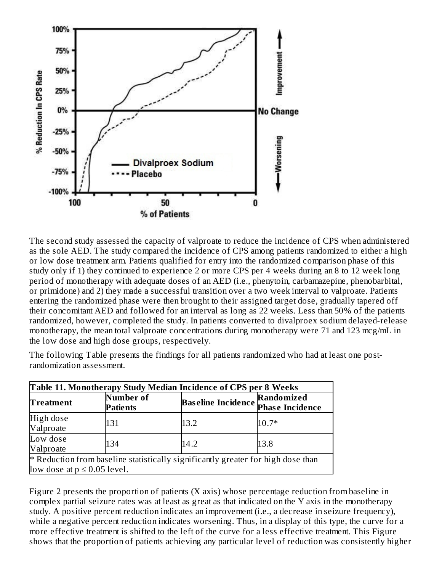

The second study assessed the capacity of valproate to reduce the incidence of CPS when administered as the sole AED. The study compared the incidence of CPS among patients randomized to either a high or low dose treatment arm. Patients qualified for entry into the randomized comparison phase of this study only if 1) they continued to experience 2 or more CPS per 4 weeks during an 8 to 12 week long period of monotherapy with adequate doses of an AED (i.e., phenytoin, carbamazepine, phenobarbital, or primidone) and 2) they made a successful transition over a two week interval to valproate. Patients entering the randomized phase were then brought to their assigned target dose, gradually tapered off their concomitant AED and followed for an interval as long as 22 weeks. Less than 50% of the patients randomized, however, completed the study. In patients converted to divalproex sodium delayed-release monotherapy, the mean total valproate concentrations during monotherapy were 71 and 123 mcg/mL in the low dose and high dose groups, respectively.

The following Table presents the findings for all patients randomized who had at least one postrandomization assessment.

| <b>Table 11. Monotherapy Study Median Incidence of CPS per 8 Weeks</b>                                              |                              |                                    |            |  |
|---------------------------------------------------------------------------------------------------------------------|------------------------------|------------------------------------|------------|--|
| <b>Treatment</b>                                                                                                    | Number of<br><b>Patients</b> | Baseline Incidence Phase Incidence | Randomized |  |
| High dose<br>Valproate                                                                                              | 131                          | 13.2                               | $10.7*$    |  |
| Low dose<br>Valproate                                                                                               | 134                          | 14.2                               | 13.8       |  |
| * Reduction from baseline statistically significantly greater for high dose than<br>low dose at $p \le 0.05$ level. |                              |                                    |            |  |

Figure 2 presents the proportion of patients (X axis) whose percentage reduction from baseline in complex partial seizure rates was at least as great as that indicated on the Y axis in the monotherapy study. A positive percent reduction indicates an improvement (i.e., a decrease in seizure frequency), while a negative percent reduction indicates worsening. Thus, in a display of this type, the curve for a more effective treatment is shifted to the left of the curve for a less effective treatment. This Figure shows that the proportion of patients achieving any particular level of reduction was consistently higher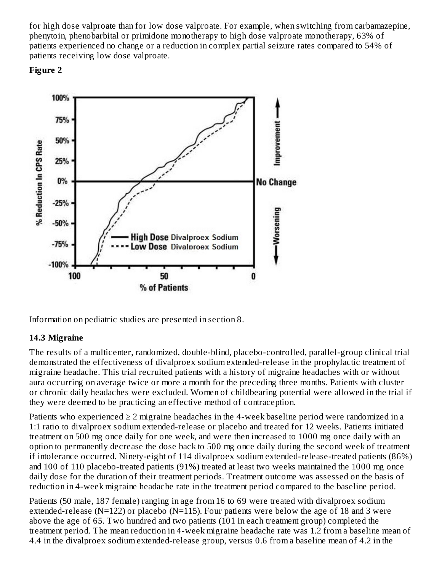for high dose valproate than for low dose valproate. For example, when switching from carbamazepine, phenytoin, phenobarbital or primidone monotherapy to high dose valproate monotherapy, 63% of patients experienced no change or a reduction in complex partial seizure rates compared to 54% of patients receiving low dose valproate.

### **Figure 2**



Information on pediatric studies are presented in section 8.

### **14.3 Migraine**

The results of a multicenter, randomized, double-blind, placebo-controlled, parallel-group clinical trial demonstrated the effectiveness of divalproex sodium extended-release in the prophylactic treatment of migraine headache. This trial recruited patients with a history of migraine headaches with or without aura occurring on average twice or more a month for the preceding three months. Patients with cluster or chronic daily headaches were excluded. Women of childbearing potential were allowed in the trial if they were deemed to be practicing an effective method of contraception.

Patients who experienced  $\geq 2$  migraine headaches in the 4-week baseline period were randomized in a 1:1 ratio to divalproex sodium extended-release or placebo and treated for 12 weeks. Patients initiated treatment on 500 mg once daily for one week, and were then increased to 1000 mg once daily with an option to permanently decrease the dose back to 500 mg once daily during the second week of treatment if intolerance occurred. Ninety-eight of 114 divalproex sodium extended-release-treated patients (86%) and 100 of 110 placebo-treated patients (91%) treated at least two weeks maintained the 1000 mg once daily dose for the duration of their treatment periods. Treatment outcome was assessed on the basis of reduction in 4-week migraine headache rate in the treatment period compared to the baseline period.

Patients (50 male, 187 female) ranging in age from 16 to 69 were treated with divalproex sodium extended-release ( $N=122$ ) or placebo ( $N=115$ ). Four patients were below the age of 18 and 3 were above the age of 65. Two hundred and two patients (101 in each treatment group) completed the treatment period. The mean reduction in 4-week migraine headache rate was 1.2 from a baseline mean of 4.4 in the divalproex sodium extended-release group, versus 0.6 from a baseline mean of 4.2 in the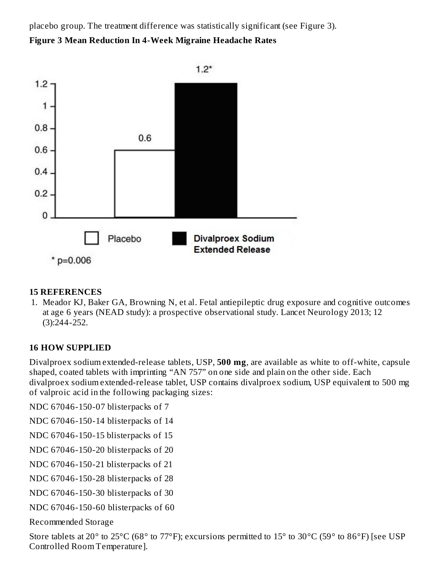placebo group. The treatment difference was statistically significant (see Figure 3).

#### **Figure 3 Mean Reduction In 4-Week Migraine Headache Rates**



### **15 REFERENCES**

1. Meador KJ, Baker GA, Browning N, et al. Fetal antiepileptic drug exposure and cognitive outcomes at age 6 years (NEAD study): a prospective observational study. Lancet Neurology 2013; 12 (3):244-252.

### **16 HOW SUPPLIED**

Divalproex sodium extended-release tablets, USP, **500 mg**, are available as white to off-white, capsule shaped, coated tablets with imprinting "AN 757" on one side and plain on the other side. Each divalproex sodium extended-release tablet, USP contains divalproex sodium, USP equivalent to 500 mg of valproic acid in the following packaging sizes:

NDC 67046-150-07 blisterpacks of 7

NDC 67046-150-14 blisterpacks of 14

NDC 67046-150-15 blisterpacks of 15

NDC 67046-150-20 blisterpacks of 20

NDC 67046-150-21 blisterpacks of 21

NDC 67046-150-28 blisterpacks of 28

NDC 67046-150-30 blisterpacks of 30

NDC 67046-150-60 blisterpacks of 60

Recommended Storage

Store tablets at 20° to 25°C (68° to 77°F); excursions permitted to 15° to 30°C (59° to 86°F) [see USP Controlled Room Temperature].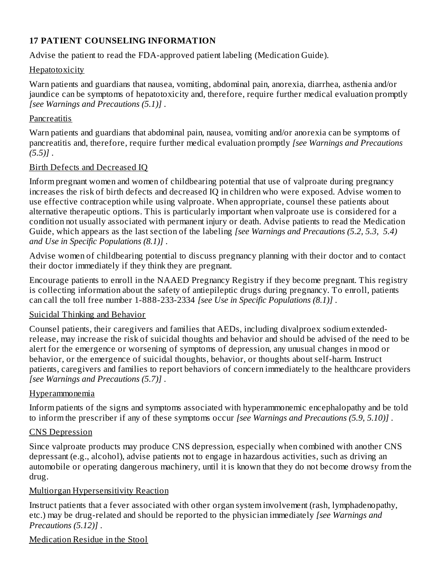#### **17 PATIENT COUNSELING INFORMATION**

Advise the patient to read the FDA-approved patient labeling (Medication Guide).

#### Hepatotoxicity

Warn patients and guardians that nausea, vomiting, abdominal pain, anorexia, diarrhea, asthenia and/or jaundice can be symptoms of hepatotoxicity and, therefore, require further medical evaluation promptly *[see Warnings and Precautions (5.1)]* .

#### **Pancreatitis**

Warn patients and guardians that abdominal pain, nausea, vomiting and/or anorexia can be symptoms of pancreatitis and, therefore, require further medical evaluation promptly *[see Warnings and Precautions (5.5)]* .

#### Birth Defects and Decreased IQ

Inform pregnant women and women of childbearing potential that use of valproate during pregnancy increases the risk of birth defects and decreased IQ in children who were exposed. Advise women to use effective contraception while using valproate. When appropriate, counsel these patients about alternative therapeutic options. This is particularly important when valproate use is considered for a condition not usually associated with permanent injury or death. Advise patients to read the Medication Guide, which appears as the last section of the labeling *[see Warnings and Precautions (5.2, 5.3, 5.4) and Use in Specific Populations (8.1)]* .

Advise women of childbearing potential to discuss pregnancy planning with their doctor and to contact their doctor immediately if they think they are pregnant.

Encourage patients to enroll in the NAAED Pregnancy Registry if they become pregnant. This registry is collecting information about the safety of antiepileptic drugs during pregnancy. To enroll, patients can call the toll free number 1-888-233-2334 *[see Use in Specific Populations (8.1)]* .

#### Suicidal Thinking and Behavior

Counsel patients, their caregivers and families that AEDs, including divalproex sodium extendedrelease, may increase the risk of suicidal thoughts and behavior and should be advised of the need to be alert for the emergence or worsening of symptoms of depression, any unusual changes in mood or behavior, or the emergence of suicidal thoughts, behavior, or thoughts about self-harm. Instruct patients, caregivers and families to report behaviors of concern immediately to the healthcare providers *[see Warnings and Precautions (5.7)]* .

#### Hyperammonemia

Inform patients of the signs and symptoms associated with hyperammonemic encephalopathy and be told to inform the prescriber if any of these symptoms occur *[see Warnings and Precautions (5.9, 5.10)]* .

#### CNS Depression

Since valproate products may produce CNS depression, especially when combined with another CNS depressant (e.g., alcohol), advise patients not to engage in hazardous activities, such as driving an automobile or operating dangerous machinery, until it is known that they do not become drowsy from the drug.

#### Multiorgan Hypersensitivity Reaction

Instruct patients that a fever associated with other organ system involvement (rash, lymphadenopathy, etc.) may be drug-related and should be reported to the physician immediately *[see Warnings and Precautions (5.12)]* .

#### Medication Residue in the Stool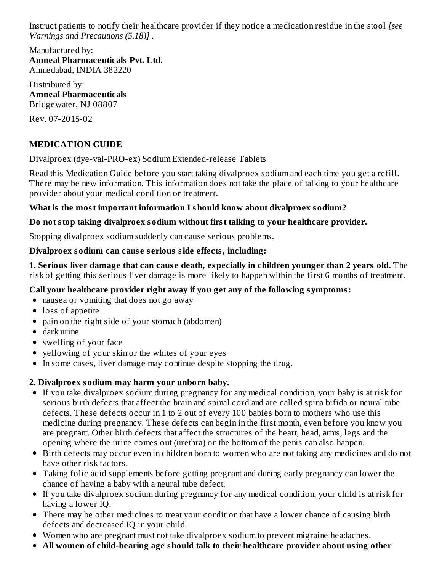Instruct patients to notify their healthcare provider if they notice a medication residue in the stool *[see Warnings and Precautions (5.18)]* .

Manufactured by: **Amneal Pharmaceuticals Pvt. Ltd.** Ahmedabad, INDIA 382220

Distributed by: **Amneal Pharmaceuticals** Bridgewater, NJ 08807

Rev. 07-2015-02

## **MEDICATION GUIDE**

Divalproex (dye-val-PRO-ex) Sodium Extended-release Tablets

Read this Medication Guide before you start taking divalproex sodium and each time you get a refill. There may be new information. This information does not take the place of talking to your healthcare provider about your medical condition or treatment.

### **What is the most important information I should know about divalproex sodium?**

### **Do not stop taking divalproex sodium without first talking to your healthcare provider.**

Stopping divalproex sodium suddenly can cause serious problems.

### **Divalproex sodium can caus e s erious side effects, including:**

**1. Serious liver damage that can caus e death, especially in children younger than 2 years old.** The risk of getting this serious liver damage is more likely to happen within the first 6 months of treatment.

## **Call your healthcare provider right away if you get any of the following symptoms:**

- nausea or vomiting that does not go away
- loss of appetite
- pain on the right side of your stomach (abdomen)
- dark urine
- swelling of your face
- yellowing of your skin or the whites of your eyes
- In some cases, liver damage may continue despite stopping the drug.

## **2. Divalproex sodium may harm your unborn baby.**

- If you take divalproex sodium during pregnancy for any medical condition, your baby is at risk for serious birth defects that affect the brain and spinal cord and are called spina bifida or neural tube defects. These defects occur in 1 to 2 out of every 100 babies born to mothers who use this medicine during pregnancy. These defects can begin in the first month, even before you know you are pregnant. Other birth defects that affect the structures of the heart, head, arms, legs and the opening where the urine comes out (urethra) on the bottom of the penis can also happen.
- Birth defects may occur even in children born to women who are not taking any medicines and do not have other risk factors.
- Taking folic acid supplements before getting pregnant and during early pregnancy can lower the chance of having a baby with a neural tube defect.
- If you take divalproex sodium during pregnancy for any medical condition, your child is at risk for having a lower IQ.
- There may be other medicines to treat your condition that have a lower chance of causing birth defects and decreased IQ in your child.
- Women who are pregnant must not take divalproex sodium to prevent migraine headaches.
- **All women of child-bearing age should talk to their healthcare provider about using other**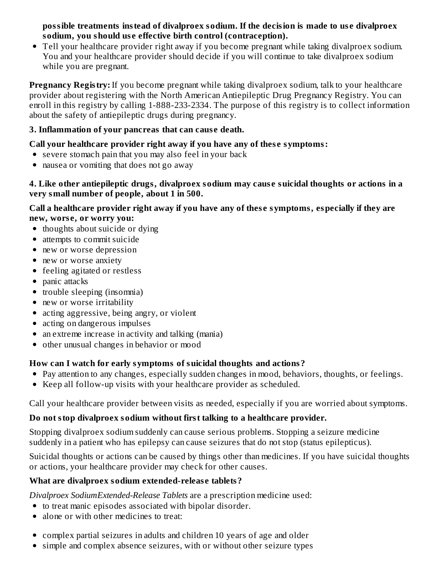**possible treatments instead of divalproex sodium. If the decision is made to us e divalproex sodium, you should us e effective birth control (contraception).**

Tell your healthcare provider right away if you become pregnant while taking divalproex sodium. You and your healthcare provider should decide if you will continue to take divalproex sodium while you are pregnant.

**Pregnancy Registry:** If you become pregnant while taking divalproex sodium, talk to your healthcare provider about registering with the North American Antiepileptic Drug Pregnancy Registry. You can enroll in this registry by calling 1-888-233-2334. The purpose of this registry is to collect information about the safety of antiepileptic drugs during pregnancy.

#### **3. Inflammation of your pancreas that can caus e death.**

### **Call your healthcare provider right away if you have any of thes e symptoms:**

- severe stomach pain that you may also feel in your back
- nausea or vomiting that does not go away

#### **4. Like other antiepileptic drugs, divalproex sodium may caus e suicidal thoughts or actions in a very small number of people, about 1 in 500.**

#### **Call a healthcare provider right away if you have any of thes e symptoms, especially if they are new, wors e, or worry you:**

- thoughts about suicide or dying
- attempts to commit suicide
- new or worse depression
- new or worse anxiety
- feeling agitated or restless
- panic attacks
- trouble sleeping (insomnia)
- new or worse irritability
- acting aggressive, being angry, or violent
- acting on dangerous impulses
- an extreme increase in activity and talking (mania)
- other unusual changes in behavior or mood

### **How can I watch for early symptoms of suicidal thoughts and actions?**

- Pay attention to any changes, especially sudden changes in mood, behaviors, thoughts, or feelings.
- Keep all follow-up visits with your healthcare provider as scheduled.

Call your healthcare provider between visits as needed, especially if you are worried about symptoms.

### **Do not stop divalproex sodium without first talking to a healthcare provider.**

Stopping divalproex sodium suddenly can cause serious problems. Stopping a seizure medicine suddenly in a patient who has epilepsy can cause seizures that do not stop (status epilepticus).

Suicidal thoughts or actions can be caused by things other than medicines. If you have suicidal thoughts or actions, your healthcare provider may check for other causes.

### **What are divalproex sodium extended-releas e tablets?**

*Divalproex SodiumExtended-Release Tablets* are a prescription medicine used:

- to treat manic episodes associated with bipolar disorder.
- alone or with other medicines to treat:
- complex partial seizures in adults and children 10 years of age and older
- simple and complex absence seizures, with or without other seizure types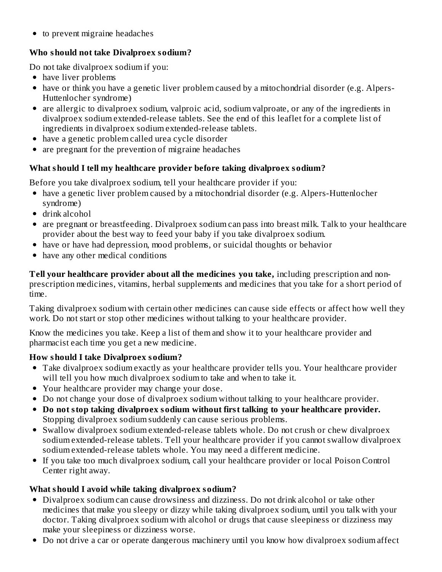to prevent migraine headaches

#### **Who should not take Divalproex sodium?**

Do not take divalproex sodium if you:

- have liver problems
- have or think you have a genetic liver problem caused by a mitochondrial disorder (e.g. Alpers-Huttenlocher syndrome)
- are allergic to divalproex sodium, valproic acid, sodium valproate, or any of the ingredients in divalproex sodium extended-release tablets. See the end of this leaflet for a complete list of ingredients in divalproex sodium extended-release tablets.
- have a genetic problem called urea cycle disorder
- are pregnant for the prevention of migraine headaches

### **What should I tell my healthcare provider before taking divalproex sodium?**

Before you take divalproex sodium, tell your healthcare provider if you:

- have a genetic liver problem caused by a mitochondrial disorder (e.g. Alpers-Huttenlocher syndrome)
- drink alcohol
- are pregnant or breastfeeding. Divalproex sodium can pass into breast milk. Talk to your healthcare provider about the best way to feed your baby if you take divalproex sodium.
- have or have had depression, mood problems, or suicidal thoughts or behavior
- have any other medical conditions

**Tell your healthcare provider about all the medicines you take,** including prescription and nonprescription medicines, vitamins, herbal supplements and medicines that you take for a short period of time.

Taking divalproex sodium with certain other medicines can cause side effects or affect how well they work. Do not start or stop other medicines without talking to your healthcare provider.

Know the medicines you take. Keep a list of them and show it to your healthcare provider and pharmacist each time you get a new medicine.

### **How should I take Divalproex sodium?**

- Take divalproex sodium exactly as your healthcare provider tells you. Your healthcare provider will tell you how much divalproex sodium to take and when to take it.
- Your healthcare provider may change your dose.
- Do not change your dose of divalproex sodium without talking to your healthcare provider.
- **Do not stop taking divalproex sodium without first talking to your healthcare provider.** Stopping divalproex sodium suddenly can cause serious problems.
- Swallow divalproex sodium extended-release tablets whole. Do not crush or chew divalproex sodium extended-release tablets. Tell your healthcare provider if you cannot swallow divalproex sodium extended-release tablets whole. You may need a different medicine.
- If you take too much divalproex sodium, call your healthcare provider or local Poison Control Center right away.

### **What should I avoid while taking divalproex sodium?**

- Divalproex sodium can cause drowsiness and dizziness. Do not drink alcohol or take other medicines that make you sleepy or dizzy while taking divalproex sodium, until you talk with your doctor. Taking divalproex sodium with alcohol or drugs that cause sleepiness or dizziness may make your sleepiness or dizziness worse.
- Do not drive a car or operate dangerous machinery until you know how divalproex sodium affect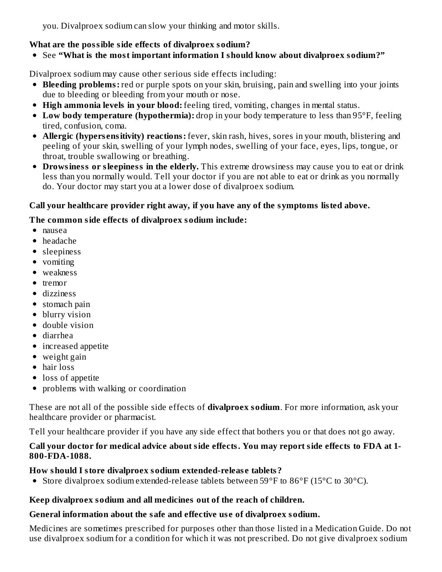you. Divalproex sodium can slow your thinking and motor skills.

## **What are the possible side effects of divalproex sodium?**

See **"What is the most important information I should know about divalproex sodium?"**

Divalproex sodium may cause other serious side effects including:

- **Bleeding problems:** red or purple spots on your skin, bruising, pain and swelling into your joints due to bleeding or bleeding from your mouth or nose.
- **High ammonia levels in your blood:** feeling tired, vomiting, changes in mental status.
- **Low body temperature (hypothermia):** drop in your body temperature to less than 95°F, feeling tired, confusion, coma.
- **Allergic (hypers ensitivity) reactions:** fever, skin rash, hives, sores in your mouth, blistering and peeling of your skin, swelling of your lymph nodes, swelling of your face, eyes, lips, tongue, or throat, trouble swallowing or breathing.
- **Drowsiness or sleepiness in the elderly.** This extreme drowsiness may cause you to eat or drink less than you normally would. Tell your doctor if you are not able to eat or drink as you normally do. Your doctor may start you at a lower dose of divalproex sodium.

## **Call your healthcare provider right away, if you have any of the symptoms listed above.**

## **The common side effects of divalproex sodium include:**

- nausea
- headache
- sleepiness
- vomiting
- weakness
- $\bullet$  tremor
- dizziness
- stomach pain
- blurry vision
- double vision
- diarrhea
- increased appetite
- weight gain
- hair loss
- loss of appetite
- problems with walking or coordination

These are not all of the possible side effects of **divalproex sodium**. For more information, ask your healthcare provider or pharmacist.

Tell your healthcare provider if you have any side effect that bothers you or that does not go away.

#### **Call your doctor for medical advice about side effects. You may report side effects to FDA at 1- 800-FDA-1088.**

## **How should I store divalproex sodium extended-releas e tablets?**

Store divalproex sodium extended-release tablets between 59°F to 86°F (15°C to 30°C).

## **Keep divalproex sodium and all medicines out of the reach of children.**

## **General information about the safe and effective us e of divalproex sodium.**

Medicines are sometimes prescribed for purposes other than those listed in a Medication Guide. Do not use divalproex sodium for a condition for which it was not prescribed. Do not give divalproex sodium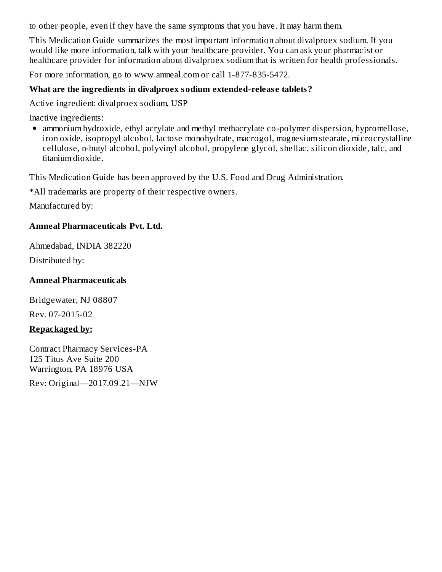to other people, even if they have the same symptoms that you have. It may harm them.

This Medication Guide summarizes the most important information about divalproex sodium. If you would like more information, talk with your healthcare provider. You can ask your pharmacist or healthcare provider for information about divalproex sodium that is written for health professionals.

For more information, go to www.amneal.com or call 1-877-835-5472.

#### **What are the ingredients in divalproex sodium extended-releas e tablets?**

Active ingredient: divalproex sodium, USP

Inactive ingredients:

ammonium hydroxide, ethyl acrylate and methyl methacrylate co-polymer dispersion, hypromellose, iron oxide, isopropyl alcohol, lactose monohydrate, macrogol, magnesium stearate, microcrystalline cellulose, n-butyl alcohol, polyvinyl alcohol, propylene glycol, shellac, silicon dioxide, talc, and titanium dioxide.

This Medication Guide has been approved by the U.S. Food and Drug Administration.

\*All trademarks are property of their respective owners.

Manufactured by:

#### **Amneal Pharmaceuticals Pvt. Ltd.**

Ahmedabad, INDIA 382220

Distributed by:

#### **Amneal Pharmaceuticals**

Bridgewater, NJ 08807

Rev. 07-2015-02

#### **Repackaged by:**

Contract Pharmacy Services-PA 125 Titus Ave Suite 200 Warrington, PA 18976 USA

Rev: Original—2017.09.21—NJW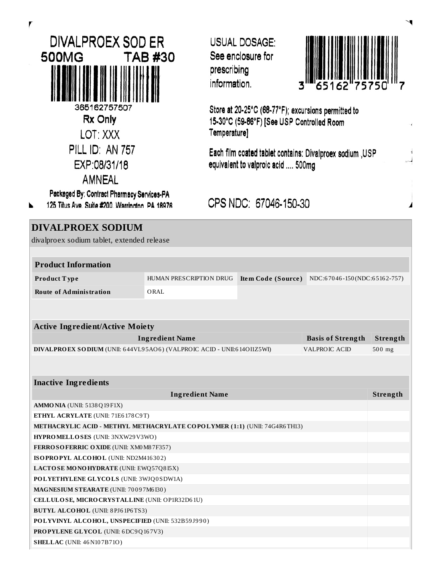| DIVALPROEX SOD ER |                |
|-------------------|----------------|
| 500MG             | <b>TAB #30</b> |
| 365162757507      |                |
| Rx Only           |                |
| LOT: XXX          |                |
| PILL ID: AN 757   |                |
| EXP:08/31/18      |                |
| AMNEAL            |                |
|                   |                |

**USUAL DOSAGE:** See enclosure for prescribing information.



Store at 20-25°C (68-77°F); excursions permitted to 15-30°C (59-86°F) [See USP Controlled Room Temperature]

Each film coated tablet contains: Divalproex sodium., USP equivalent to valproic acid .... 500mg

CPS NDC: 67046-150-30

Packaged By: Contract Pharmacy Services-PA

125 Titus Ave. Suite #200. Warrington PA 18976

#### **DIVALPROEX SODIUM**

divalproex sodium tablet, extended release

| <b>Product Information</b>     |                         |                    |                              |  |  |
|--------------------------------|-------------------------|--------------------|------------------------------|--|--|
| <b>Product Type</b>            | HUMAN PRESCRIPTION DRUG | Item Code (Source) | NDC:67046-150(NDC:65162-757) |  |  |
| <b>Route of Administration</b> | ORAL                    |                    |                              |  |  |

| <b>Active Ingredient/Active Moiety</b>                                        |                          |           |  |  |
|-------------------------------------------------------------------------------|--------------------------|-----------|--|--|
| Ingredient Name                                                               | <b>Basis of Strength</b> | ∣Strength |  |  |
| <b>DIVALPROEX SODIUM</b> (UNII: 644VL95AO6) (VALPROIC ACID - UNII:614OI1Z5WI) | VALPROIC ACID            | $500$ mg  |  |  |

| <b>Inactive Ingredients</b>                                                      |          |
|----------------------------------------------------------------------------------|----------|
| <b>Ingredient Name</b>                                                           | Strength |
| <b>AMMO NIA (UNII: 5138 Q19 F1X)</b>                                             |          |
| <b>ETHYL ACRYLATE (UNII: 71E6178C9T)</b>                                         |          |
| <b>METHACRYLIC ACID - METHYL METHACRYLATE COPOLYMER (1:1) (UNII: 74G4R6TH13)</b> |          |
| <b>HYPROMELLOSES</b> (UNII: 3NXW29V3WO)                                          |          |
| FERROSOFERRIC OXIDE (UNII: XM0 M8 7F357)                                         |          |
| ISOPROPYL ALCOHOL (UNII: ND2M416302)                                             |          |
| <b>LACTOSE MONOHYDRATE (UNII: EWQ57Q8I5X)</b>                                    |          |
| POLYETHYLENE GLYCOLS (UNII: 3WJQ0SDW1A)                                          |          |
| <b>MAGNESIUM STEARATE (UNII: 70097M6I30)</b>                                     |          |
| CELLULOSE, MICRO CRYSTALLINE (UNII: OP1R32D61U)                                  |          |
| <b>BUTYL ALCOHOL</b> (UNII: 8PJ61P6TS3)                                          |          |
| POLYVINYL ALCOHOL, UNSPECIFIED (UNII: 532B59J990)                                |          |
| <b>PROPYLENE GLYCOL (UNII: 6DC9Q167V3)</b>                                       |          |
| <b>SHELLAC</b> (UNII: 46 N107B71O)                                               |          |

 $\frac{1}{2}$ أساء